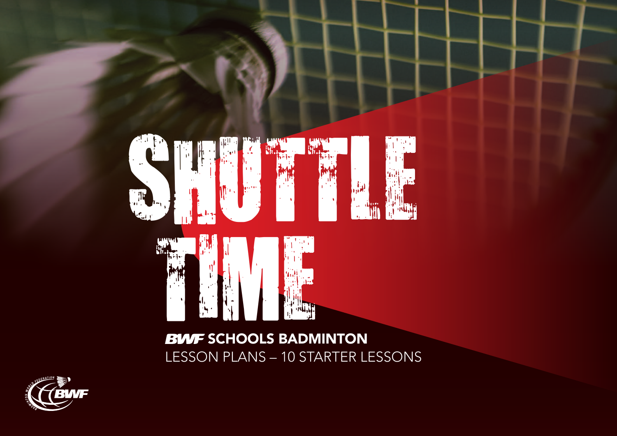

### **BWF SCHOOLS BADMINTON** LESSON PLANS – 10 STARTER LESSONS



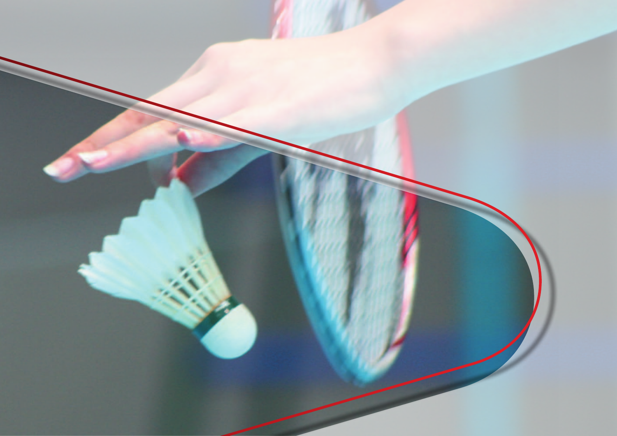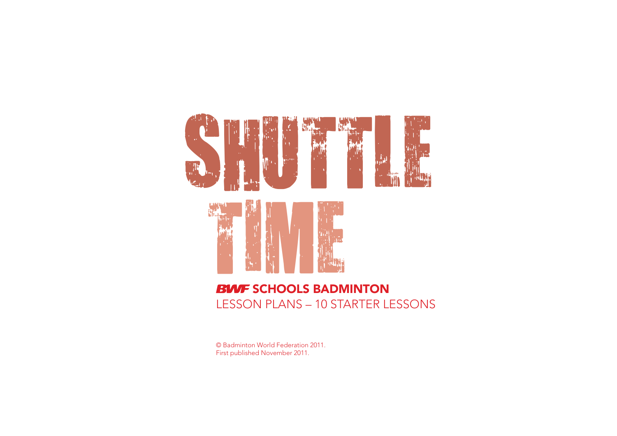

### **BWF** SCHOOLS BADMINTON LESSON PLANS – 10 STARTER LESSONS

© Badminton World Federation 2011. First published November 2011.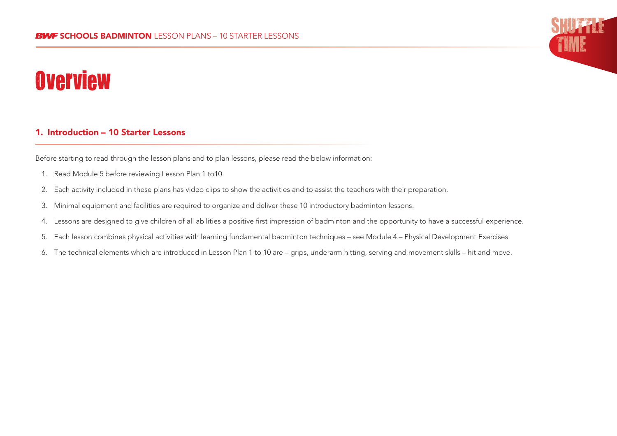

## **Overview**

#### 1. Introduction – 10 Starter Lessons

Before starting to read through the lesson plans and to plan lessons, please read the below information:

- 1. Read Module 5 before reviewing Lesson Plan 1 to10.
- 2. Each activity included in these plans has video clips to show the activities and to assist the teachers with their preparation.
- 3. Minimal equipment and facilities are required to organize and deliver these 10 introductory badminton lessons.
- 4. Lessons are designed to give children of all abilities a positive first impression of badminton and the opportunity to have a successful experience.
- 5. Each lesson combines physical activities with learning fundamental badminton techniques see Module 4 Physical Development Exercises.
- 6. The technical elements which are introduced in Lesson Plan 1 to 10 are grips, underarm hitting, serving and movement skills hit and move.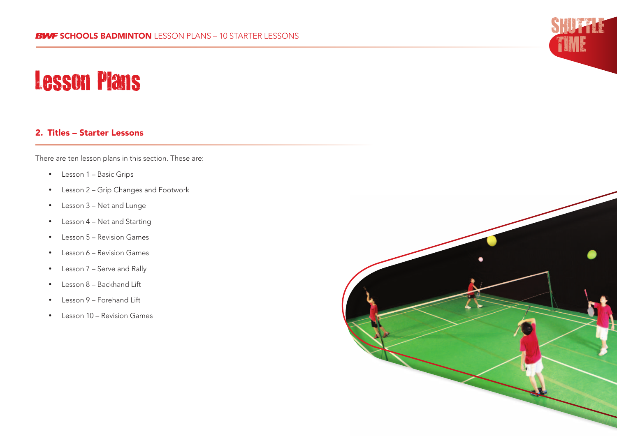

#### 2. Titles – Starter Lessons

There are ten lesson plans in this section. These are:

- Lesson 1 Basic Grips
- • Lesson 2 Grip Changes and Footwork
- Lesson 3 Net and Lunge
- Lesson 4 Net and Starting
- • Lesson 5 Revision Games
- Lesson 6 Revision Games
- Lesson 7 Serve and Rally
- Lesson 8 Backhand Lift
- Lesson 9 Forehand Lift
- Lesson 10 Revision Games



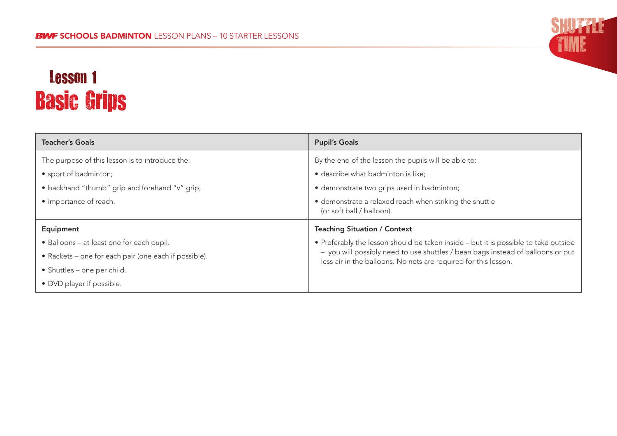

## Lesson 1 Basic Grips

| <b>Teacher's Goals</b>                                | <b>Pupil's Goals</b>                                                                                                                               |
|-------------------------------------------------------|----------------------------------------------------------------------------------------------------------------------------------------------------|
| The purpose of this lesson is to introduce the:       | By the end of the lesson the pupils will be able to:                                                                                               |
| • sport of badminton;                                 | · describe what badminton is like;                                                                                                                 |
| • backhand "thumb" grip and forehand "v" grip;        | • demonstrate two grips used in badminton;                                                                                                         |
| • importance of reach.                                | • demonstrate a relaxed reach when striking the shuttle<br>(or soft ball / balloon).                                                               |
| Equipment                                             | <b>Teaching Situation / Context</b>                                                                                                                |
| • Balloons – at least one for each pupil.             | • Preferably the lesson should be taken inside – but it is possible to take outside                                                                |
| • Rackets – one for each pair (one each if possible). | - you will possibly need to use shuttles / bean bags instead of balloons or put<br>less air in the balloons. No nets are required for this lesson. |
| • Shuttles - one per child.                           |                                                                                                                                                    |
| • DVD player if possible.                             |                                                                                                                                                    |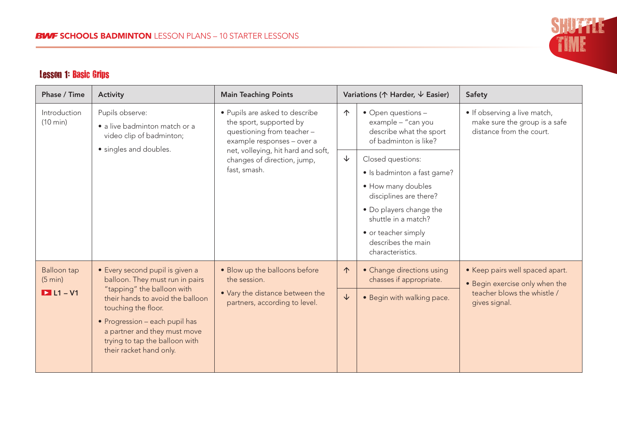

### Lesson 1: Basic Grips

| Phase / Time                       | <b>Activity</b>                                                                                                             | <b>Main Teaching Points</b>                                                                                                                                 |              | Variations ( $\uparrow$ Harder, $\downarrow$ Easier)                                         | Safety                                                                                    |
|------------------------------------|-----------------------------------------------------------------------------------------------------------------------------|-------------------------------------------------------------------------------------------------------------------------------------------------------------|--------------|----------------------------------------------------------------------------------------------|-------------------------------------------------------------------------------------------|
| Introduction<br>$(10 \text{ min})$ | Pupils observe:<br>· a live badminton match or a<br>video clip of badminton;<br>· singles and doubles.                      | • Pupils are asked to describe<br>the sport, supported by<br>questioning from teacher -<br>example responses - over a<br>net, volleying, hit hard and soft, | $\uparrow$   | • Open questions -<br>example - "can you<br>describe what the sport<br>of badminton is like? | • If observing a live match,<br>make sure the group is a safe<br>distance from the court. |
|                                    |                                                                                                                             | changes of direction, jump,<br>fast, smash.                                                                                                                 | $\downarrow$ | Closed questions:                                                                            |                                                                                           |
|                                    |                                                                                                                             |                                                                                                                                                             |              | · Is badminton a fast game?<br>• How many doubles<br>disciplines are there?                  |                                                                                           |
|                                    |                                                                                                                             |                                                                                                                                                             |              | • Do players change the<br>shuttle in a match?                                               |                                                                                           |
|                                    |                                                                                                                             |                                                                                                                                                             |              | • or teacher simply<br>describes the main<br>characteristics.                                |                                                                                           |
| <b>Balloon tap</b><br>(5 min)      | • Every second pupil is given a<br>balloon. They must run in pairs                                                          | • Blow up the balloons before<br>the session.                                                                                                               | $\uparrow$   | • Change directions using<br>chasses if appropriate.                                         | • Keep pairs well spaced apart.<br>• Begin exercise only when the                         |
| $\blacksquare$ L1 – V1             | "tapping" the balloon with<br>their hands to avoid the balloon<br>touching the floor.                                       | • Vary the distance between the<br>partners, according to level.                                                                                            | $\downarrow$ | · Begin with walking pace.                                                                   | teacher blows the whistle /<br>gives signal.                                              |
|                                    | · Progression - each pupil has<br>a partner and they must move<br>trying to tap the balloon with<br>their racket hand only. |                                                                                                                                                             |              |                                                                                              |                                                                                           |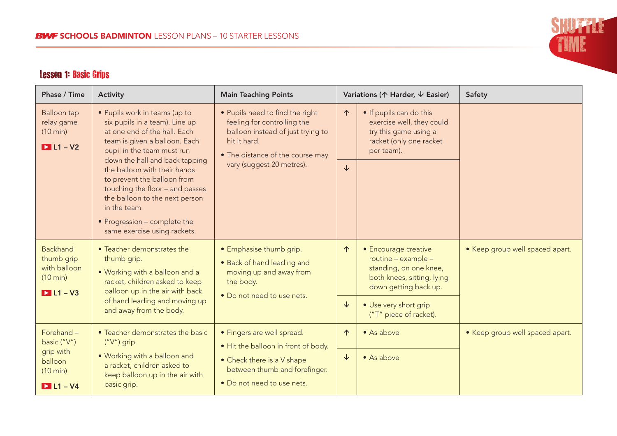# **SHUFFLE**<br>TIME

### Lesson 1: Basic Grips

| Phase / Time                                                                                       | <b>Activity</b>                                                                                                                                                                                                                                                                                                                                                                                                      | <b>Main Teaching Points</b>                                                                                                                                                          |                            | Variations ( $\uparrow$ Harder, $\downarrow$ Easier)                                                                                                                            | Safety                          |
|----------------------------------------------------------------------------------------------------|----------------------------------------------------------------------------------------------------------------------------------------------------------------------------------------------------------------------------------------------------------------------------------------------------------------------------------------------------------------------------------------------------------------------|--------------------------------------------------------------------------------------------------------------------------------------------------------------------------------------|----------------------------|---------------------------------------------------------------------------------------------------------------------------------------------------------------------------------|---------------------------------|
| <b>Balloon tap</b><br>relay game<br>(10 min)<br>$L1 - V2$                                          | • Pupils work in teams (up to<br>six pupils in a team). Line up<br>at one end of the hall. Each<br>team is given a balloon. Each<br>pupil in the team must run<br>down the hall and back tapping<br>the balloon with their hands<br>to prevent the balloon from<br>touching the floor - and passes<br>the balloon to the next person<br>in the team.<br>• Progression – complete the<br>same exercise using rackets. | • Pupils need to find the right<br>feeling for controlling the<br>balloon instead of just trying to<br>hit it hard.<br>• The distance of the course may<br>vary (suggest 20 metres). | $\uparrow$<br>$\downarrow$ | • If pupils can do this<br>exercise well, they could<br>try this game using a<br>racket (only one racket<br>per team).                                                          |                                 |
| <b>Backhand</b><br>thumb grip<br>with balloon<br>(10 min)<br>$L1 - V3$                             | • Teacher demonstrates the<br>thumb grip.<br>• Working with a balloon and a<br>racket, children asked to keep<br>balloon up in the air with back<br>of hand leading and moving up<br>and away from the body.                                                                                                                                                                                                         | • Emphasise thumb grip.<br>• Back of hand leading and<br>moving up and away from<br>the body.<br>• Do not need to use nets.                                                          | $\uparrow$<br>↓            | · Encourage creative<br>routine - example -<br>standing, on one knee,<br>both knees, sitting, lying<br>down getting back up.<br>• Use very short grip<br>("T" piece of racket). | • Keep group well spaced apart. |
| Forehand-<br>basic ("V")<br>grip with<br>balloon<br>$(10 \text{ min})$<br>$\triangleright$ L1 – V4 | • Teacher demonstrates the basic<br>$(''V'')$ grip.<br>. Working with a balloon and<br>a racket, children asked to<br>keep balloon up in the air with<br>basic grip.                                                                                                                                                                                                                                                 | • Fingers are well spread.<br>• Hit the balloon in front of body.<br>• Check there is a V shape<br>between thumb and forefinger.<br>• Do not need to use nets.                       | $\uparrow$<br>$\downarrow$ | • As above<br>• As above                                                                                                                                                        | • Keep group well spaced apart. |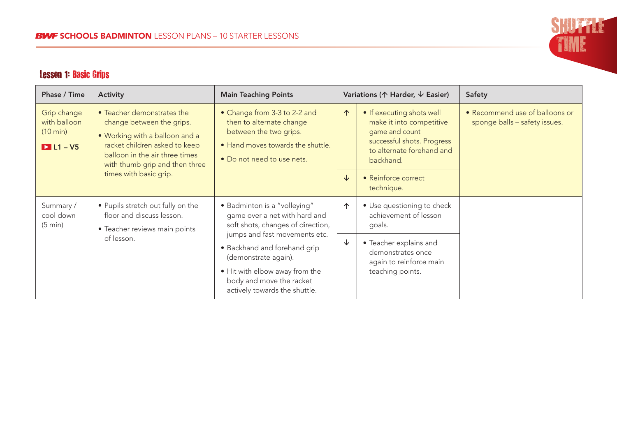

### Lesson 1: Basic Grips

| Phase / Time                                                   | Activity                                                                                                                                                                                                                 | <b>Main Teaching Points</b>                                                                                                                                                                                                                                                                |                            | Variations ( $\uparrow$ Harder, $\downarrow$ Easier)                                                                                                                   | <b>Safety</b>                                                   |
|----------------------------------------------------------------|--------------------------------------------------------------------------------------------------------------------------------------------------------------------------------------------------------------------------|--------------------------------------------------------------------------------------------------------------------------------------------------------------------------------------------------------------------------------------------------------------------------------------------|----------------------------|------------------------------------------------------------------------------------------------------------------------------------------------------------------------|-----------------------------------------------------------------|
| Grip change<br>with balloon<br>$(10 \text{ min})$<br>$L1 - V5$ | • Teacher demonstrates the<br>change between the grips.<br>• Working with a balloon and a<br>racket children asked to keep<br>balloon in the air three times<br>with thumb grip and then three<br>times with basic grip. | • Change from 3-3 to 2-2 and<br>then to alternate change<br>between the two grips.<br>. Hand moves towards the shuttle.<br>• Do not need to use nets.                                                                                                                                      | $\uparrow$<br>$\downarrow$ | • If executing shots well<br>make it into competitive<br>game and count<br>successful shots. Progress<br>to alternate forehand and<br>backhand.<br>• Reinforce correct | • Recommend use of balloons or<br>sponge balls - safety issues. |
|                                                                |                                                                                                                                                                                                                          |                                                                                                                                                                                                                                                                                            |                            | technique.                                                                                                                                                             |                                                                 |
| Summary /<br>cool down<br>$(5 \text{ min})$                    | • Pupils stretch out fully on the<br>floor and discuss lesson.<br>• Teacher reviews main points                                                                                                                          | • Badminton is a "volleying"<br>game over a net with hard and<br>soft shots, changes of direction,<br>jumps and fast movements etc.<br>• Backhand and forehand grip<br>(demonstrate again).<br>• Hit with elbow away from the<br>body and move the racket<br>actively towards the shuttle. | $\uparrow$                 | • Use questioning to check<br>achievement of lesson<br>goals.                                                                                                          |                                                                 |
|                                                                | of lesson.                                                                                                                                                                                                               |                                                                                                                                                                                                                                                                                            | $\downarrow$               | • Teacher explains and<br>demonstrates once<br>again to reinforce main<br>teaching points.                                                                             |                                                                 |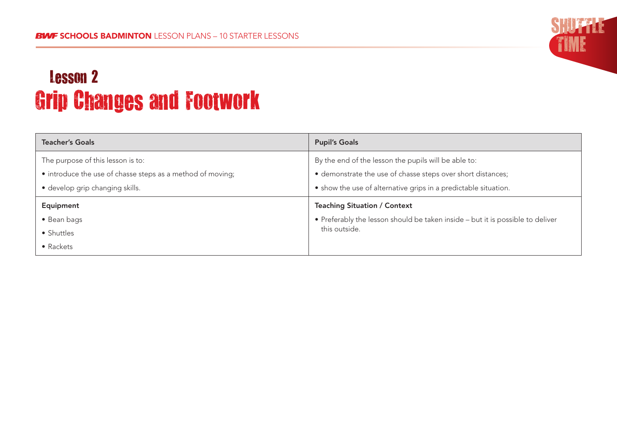

### Lesson 2 Grip Changes and Footwork

| <b>Teacher's Goals</b>                                                                          | <b>Pupil's Goals</b>                                                                                                |
|-------------------------------------------------------------------------------------------------|---------------------------------------------------------------------------------------------------------------------|
| The purpose of this lesson is to:<br>• introduce the use of chasse steps as a method of moving; | By the end of the lesson the pupils will be able to:<br>• demonstrate the use of chasse steps over short distances; |
| · develop grip changing skills.                                                                 | • show the use of alternative grips in a predictable situation.                                                     |
| Equipment                                                                                       | <b>Teaching Situation / Context</b>                                                                                 |
| • Bean bags                                                                                     | • Preferably the lesson should be taken inside - but it is possible to deliver                                      |
| • Shuttles                                                                                      | this outside.                                                                                                       |
| • Rackets                                                                                       |                                                                                                                     |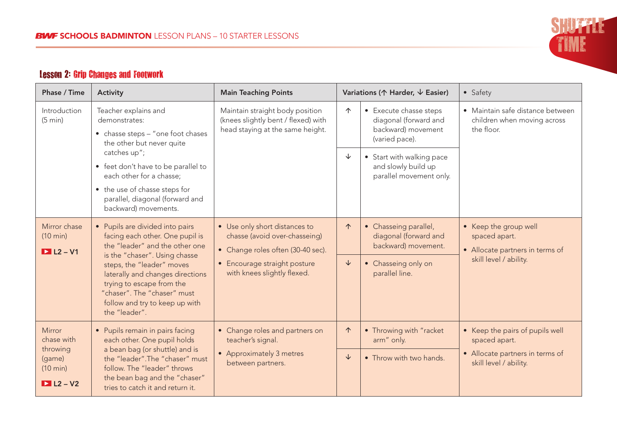

### Lesson 2: Grip Changes and Footwork

| Phase / Time                                                                  | <b>Activity</b>                                                                                                                                                                                                                                                                                                       | <b>Main Teaching Points</b>                                                                                                                                        |                   | Variations ( $\uparrow$ Harder, $\downarrow$ Easier)                                                                                                                   | • Safety                                                                                                      |
|-------------------------------------------------------------------------------|-----------------------------------------------------------------------------------------------------------------------------------------------------------------------------------------------------------------------------------------------------------------------------------------------------------------------|--------------------------------------------------------------------------------------------------------------------------------------------------------------------|-------------------|------------------------------------------------------------------------------------------------------------------------------------------------------------------------|---------------------------------------------------------------------------------------------------------------|
| Introduction<br>(5 min)                                                       | Teacher explains and<br>demonstrates:<br>• chasse steps - "one foot chases<br>the other but never quite<br>catches up";<br>• feet don't have to be parallel to<br>each other for a chasse;<br>• the use of chasse steps for<br>parallel, diagonal (forward and<br>backward) movements.                                | Maintain straight body position<br>(knees slightly bent / flexed) with<br>head staying at the same height.                                                         | 个<br>↓            | • Execute chasse steps<br>diagonal (forward and<br>backward) movement<br>(varied pace).<br>• Start with walking pace<br>and slowly build up<br>parallel movement only. | • Maintain safe distance between<br>children when moving across<br>the floor.                                 |
| Mirror chase<br>(10 min)<br>$L2 - V1$                                         | • Pupils are divided into pairs<br>facing each other. One pupil is<br>the "leader" and the other one<br>is the "chaser". Using chasse<br>steps, the "leader" moves<br>laterally and changes directions<br>trying to escape from the<br>"chaser". The "chaser" must<br>follow and try to keep up with<br>the "leader". | • Use only short distances to<br>chasse (avoid over-chasseing)<br>• Change roles often (30-40 sec).<br>• Encourage straight posture<br>with knees slightly flexed. | 个<br>$\downarrow$ | • Chasseing parallel,<br>diagonal (forward and<br>backward) movement.<br>• Chasseing only on<br>parallel line.                                                         | • Keep the group well<br>spaced apart.<br>• Allocate partners in terms of<br>skill level / ability.           |
| Mirror<br>chase with<br>throwing<br>(game)<br>$(10 \text{ min})$<br>$L2 - V2$ | • Pupils remain in pairs facing<br>each other. One pupil holds<br>a bean bag (or shuttle) and is<br>the "leader". The "chaser" must<br>follow. The "leader" throws<br>the bean bag and the "chaser"<br>tries to catch it and return it.                                                                               | • Change roles and partners on<br>teacher's signal.<br>• Approximately 3 metres<br>between partners.                                                               | 个<br>$\downarrow$ | • Throwing with "racket<br>arm" only.<br>• Throw with two hands.                                                                                                       | • Keep the pairs of pupils well<br>spaced apart.<br>• Allocate partners in terms of<br>skill level / ability. |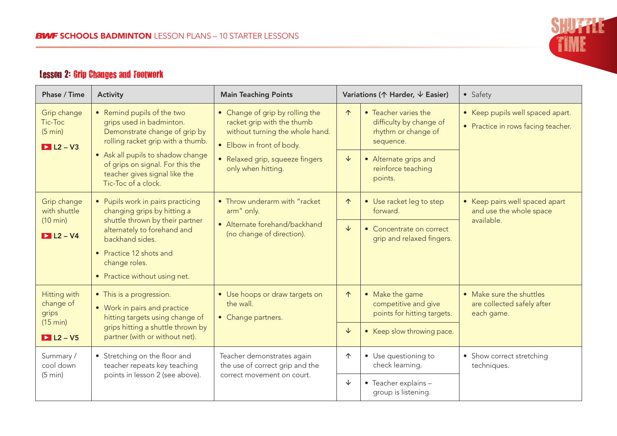

### Lesson 2: Grip Changes and Footwork

| Phase / Time                                   | Activity                                                                                                                                                          | <b>Main Teaching Points</b>                                                                                                   |              | Variations ( $\uparrow$ Harder, $\downarrow$ Easier)                                | • Safety                                                               |
|------------------------------------------------|-------------------------------------------------------------------------------------------------------------------------------------------------------------------|-------------------------------------------------------------------------------------------------------------------------------|--------------|-------------------------------------------------------------------------------------|------------------------------------------------------------------------|
| Grip change<br>Tic-Toc<br>(5 min)<br>$L2 - V3$ | • Remind pupils of the two<br>grips used in badminton.<br>Demonstrate change of grip by<br>rolling racket grip with a thumb.<br>• Ask all pupils to shadow change | • Change of grip by rolling the<br>racket grip with the thumb<br>without turning the whole hand.<br>• Elbow in front of body. | $\uparrow$   | • Teacher varies the<br>difficulty by change of<br>rhythm or change of<br>sequence. | • Keep pupils well spaced apart.<br>• Practice in rows facing teacher. |
|                                                | of grips on signal. For this the<br>teacher gives signal like the<br>Tic-Toc of a clock.                                                                          | • Relaxed grip, squeeze fingers<br>only when hitting.                                                                         | ↓            | • Alternate grips and<br>reinforce teaching<br>points.                              |                                                                        |
| Grip change<br>with shuttle                    | • Pupils work in pairs practicing<br>changing grips by hitting a                                                                                                  | • Throw underarm with "racket<br>arm" only.                                                                                   | $\uparrow$   | • Use racket leg to step<br>forward.                                                | • Keep pairs well spaced apart<br>and use the whole space              |
| (10 min)<br>$L2 - V4$                          | shuttle thrown by their partner<br>alternately to forehand and<br>backhand sides.                                                                                 | • Alternate forehand/backhand<br>(no change of direction).                                                                    | $\downarrow$ | • Concentrate on correct<br>grip and relaxed fingers.                               | available.                                                             |
|                                                | • Practice 12 shots and<br>change roles.                                                                                                                          |                                                                                                                               |              |                                                                                     |                                                                        |
|                                                | • Practice without using net.                                                                                                                                     |                                                                                                                               |              |                                                                                     |                                                                        |
| Hitting with<br>change of<br>grips<br>(15 min) | • This is a progression.<br>• Work in pairs and practice<br>hitting targets using change of                                                                       | • Use hoops or draw targets on<br>the wall.<br>• Change partners.                                                             | 个            | • Make the game<br>competitive and give<br>points for hitting targets.              | • Make sure the shuttles<br>are collected safely after<br>each game.   |
| $L2 - V5$                                      | grips hitting a shuttle thrown by<br>partner (with or without net).                                                                                               |                                                                                                                               | $\downarrow$ | • Keep slow throwing pace.                                                          |                                                                        |
| Summary /<br>cool down                         | • Stretching on the floor and<br>teacher repeats key teaching                                                                                                     | Teacher demonstrates again<br>the use of correct grip and the                                                                 | 个            | • Use questioning to<br>check learning.                                             | • Show correct stretching<br>techniques.                               |
| (5 min)                                        | points in lesson 2 (see above).                                                                                                                                   | correct movement on court.                                                                                                    | ↓            | · Teacher explains -<br>group is listening.                                         |                                                                        |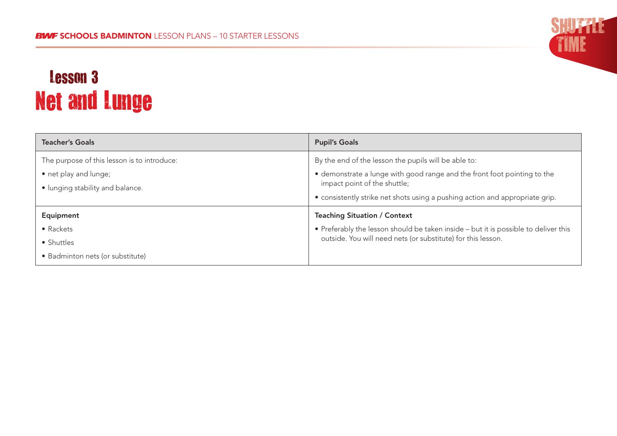

## Lesson 3 Net and Lunge

| <b>Teacher's Goals</b>                                                                                   | <b>Pupil's Goals</b>                                                                                                                                                                                                                             |
|----------------------------------------------------------------------------------------------------------|--------------------------------------------------------------------------------------------------------------------------------------------------------------------------------------------------------------------------------------------------|
| The purpose of this lesson is to introduce:<br>• net play and lunge;<br>• lunging stability and balance. | By the end of the lesson the pupils will be able to:<br>· demonstrate a lunge with good range and the front foot pointing to the<br>impact point of the shuttle;<br>• consistently strike net shots using a pushing action and appropriate grip. |
| Equipment                                                                                                | <b>Teaching Situation / Context</b>                                                                                                                                                                                                              |
| $\bullet$ Rackets                                                                                        | • Preferably the lesson should be taken inside - but it is possible to deliver this                                                                                                                                                              |
| • Shuttles                                                                                               | outside. You will need nets (or substitute) for this lesson.                                                                                                                                                                                     |
| · Badminton nets (or substitute)                                                                         |                                                                                                                                                                                                                                                  |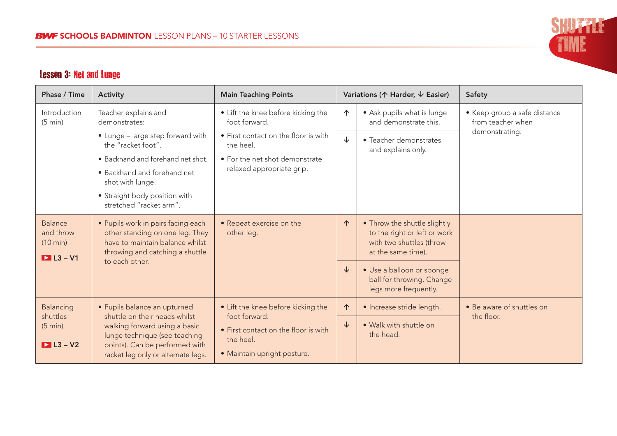

### Lesson 3: Net and Lunge

| Phase / Time                                         | <b>Activity</b>                                                                                                                                                                                             | <b>Main Teaching Points</b>                                                                                                             |                 | Variations ( $\uparrow$ Harder, $\downarrow$ Easier)                                                                                                                                              | Safety                                            |
|------------------------------------------------------|-------------------------------------------------------------------------------------------------------------------------------------------------------------------------------------------------------------|-----------------------------------------------------------------------------------------------------------------------------------------|-----------------|---------------------------------------------------------------------------------------------------------------------------------------------------------------------------------------------------|---------------------------------------------------|
| Introduction<br>(5 min)                              | Teacher explains and<br>demonstrates:                                                                                                                                                                       | • Lift the knee before kicking the<br>foot forward.                                                                                     | 个               | • Ask pupils what is lunge<br>and demonstrate this.                                                                                                                                               | • Keep group a safe distance<br>from teacher when |
|                                                      | • Lunge - large step forward with<br>the "racket foot".<br>• Backhand and forehand net shot.<br>• Backhand and forehand net<br>shot with lunge.<br>• Straight body position with<br>stretched "racket arm". | • First contact on the floor is with<br>the heel.<br>• For the net shot demonstrate<br>relaxed appropriate grip.                        | $\downarrow$    | • Teacher demonstrates<br>and explains only.                                                                                                                                                      | demonstrating.                                    |
| <b>Balance</b><br>and throw<br>(10 min)<br>$L3 - V1$ | • Pupils work in pairs facing each<br>other standing on one leg. They<br>have to maintain balance whilst<br>throwing and catching a shuttle<br>to each other.                                               | • Repeat exercise on the<br>other leg.                                                                                                  | $\uparrow$<br>↓ | • Throw the shuttle slightly<br>to the right or left or work<br>with two shuttles (throw<br>at the same time).<br>· Use a balloon or sponge<br>ball for throwing. Change<br>legs more frequently. |                                                   |
| Balancing<br>shuttles<br>(5 min)<br>$L3 - V2$        | · Pupils balance an upturned<br>shuttle on their heads whilst<br>walking forward using a basic<br>lunge technique (see teaching<br>points). Can be performed with<br>racket leg only or alternate legs.     | • Lift the knee before kicking the<br>foot forward.<br>• First contact on the floor is with<br>the heel.<br>· Maintain upright posture. | $\uparrow$<br>↓ | · Increase stride length.<br>• Walk with shuttle on<br>the head.                                                                                                                                  | • Be aware of shuttles on<br>the floor.           |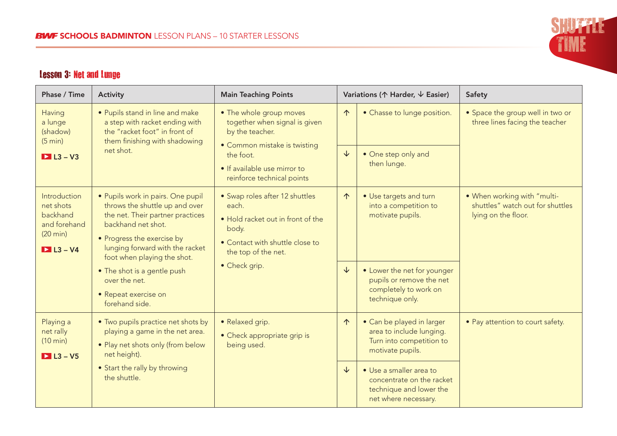

### Lesson 3: Net and Lunge

| Phase / Time                                                                             | <b>Activity</b>                                                                                                                                                                                                               | <b>Main Teaching Points</b>                                                                                                                     |              | Variations ( $\uparrow$ Harder, $\downarrow$ Easier)                                                    | Safety                                                                                 |
|------------------------------------------------------------------------------------------|-------------------------------------------------------------------------------------------------------------------------------------------------------------------------------------------------------------------------------|-------------------------------------------------------------------------------------------------------------------------------------------------|--------------|---------------------------------------------------------------------------------------------------------|----------------------------------------------------------------------------------------|
| Having<br>a lunge<br>(shadow)<br>(5 min)                                                 | • Pupils stand in line and make<br>a step with racket ending with<br>the "racket foot" in front of<br>them finishing with shadowing                                                                                           | • The whole group moves<br>together when signal is given<br>by the teacher.<br>• Common mistake is twisting                                     | $\uparrow$   | • Chasse to lunge position.                                                                             | • Space the group well in two or<br>three lines facing the teacher                     |
| $L = 13 - V3$                                                                            | net shot.                                                                                                                                                                                                                     | the foot.<br>· If available use mirror to<br>reinforce technical points                                                                         | $\downarrow$ | • One step only and<br>then lunge.                                                                      |                                                                                        |
| Introduction<br>net shots<br>backhand<br>and forehand<br>$(20 \text{ min})$<br>$L3 - V4$ | · Pupils work in pairs. One pupil<br>throws the shuttle up and over<br>the net. Their partner practices<br>backhand net shot.<br>• Progress the exercise by<br>lunging forward with the racket<br>foot when playing the shot. | • Swap roles after 12 shuttles<br>each.<br>. Hold racket out in front of the<br>body.<br>• Contact with shuttle close to<br>the top of the net. | $\uparrow$   | · Use targets and turn<br>into a competition to<br>motivate pupils.                                     | . When working with "multi-<br>shuttles" watch out for shuttles<br>lying on the floor. |
|                                                                                          | • The shot is a gentle push<br>over the net.<br>• Repeat exercise on<br>forehand side.                                                                                                                                        | • Check grip.                                                                                                                                   | $\downarrow$ | • Lower the net for younger<br>pupils or remove the net<br>completely to work on<br>technique only.     |                                                                                        |
| Playing a<br>net rally<br>(10 min)<br>$\blacksquare$ L3 – V5                             | • Two pupils practice net shots by<br>playing a game in the net area.<br>• Play net shots only (from below<br>net height).                                                                                                    | · Relaxed grip.<br>• Check appropriate grip is<br>being used.                                                                                   | $\uparrow$   | • Can be played in larger<br>area to include lunging.<br>Turn into competition to<br>motivate pupils.   | • Pay attention to court safety.                                                       |
|                                                                                          | • Start the rally by throwing<br>the shuttle.                                                                                                                                                                                 |                                                                                                                                                 | ↓            | • Use a smaller area to<br>concentrate on the racket<br>technique and lower the<br>net where necessary. |                                                                                        |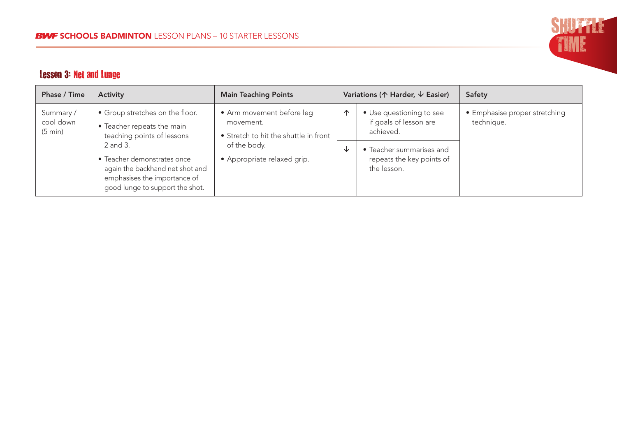

### Lesson 3: Net and Lunge

| Phase / Time                                | Activity                                                                                                                                                                                                                                     | <b>Main Teaching Points</b>                                                                                                    |        | Variations ( $\uparrow$ Harder, $\downarrow$ Easier)                                                                                    | Safety                                      |
|---------------------------------------------|----------------------------------------------------------------------------------------------------------------------------------------------------------------------------------------------------------------------------------------------|--------------------------------------------------------------------------------------------------------------------------------|--------|-----------------------------------------------------------------------------------------------------------------------------------------|---------------------------------------------|
| Summary /<br>cool down<br>$(5 \text{ min})$ | • Group stretches on the floor.<br>• Teacher repeats the main<br>teaching points of lessons<br>2 and 3.<br>• Teacher demonstrates once<br>again the backhand net shot and<br>emphasises the importance of<br>good lunge to support the shot. | • Arm movement before leg<br>movement.<br>• Stretch to hit the shuttle in front<br>of the body.<br>• Appropriate relaxed grip. | ∧<br>◡ | • Use questioning to see<br>if goals of lesson are<br>achieved.<br>• Teacher summarises and<br>repeats the key points of<br>the lesson. | • Emphasise proper stretching<br>technique. |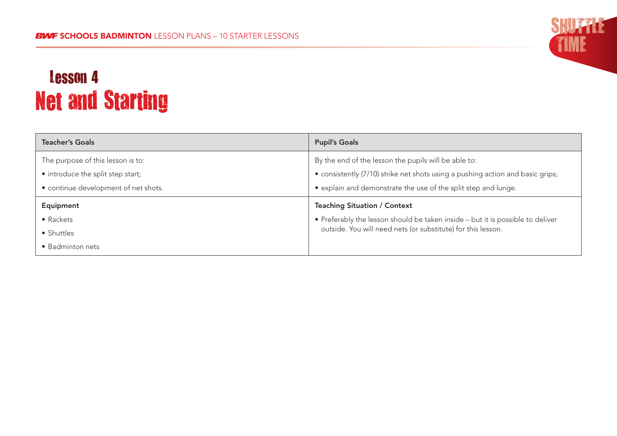

### Lesson 4 Net and Starting

| <b>Teacher's Goals</b>                                                 | <b>Pupil's Goals</b>                                                                                                                   |
|------------------------------------------------------------------------|----------------------------------------------------------------------------------------------------------------------------------------|
| The purpose of this lesson is to:<br>• introduce the split step start; | By the end of the lesson the pupils will be able to:<br>• consistently (7/10) strike net shots using a pushing action and basic grips; |
| • continue development of net shots.                                   | • explain and demonstrate the use of the split step and lunge.                                                                         |
| Equipment                                                              | <b>Teaching Situation / Context</b>                                                                                                    |
| • Rackets                                                              | • Preferably the lesson should be taken inside - but it is possible to deliver                                                         |
| • Shuttles                                                             | outside. You will need nets (or substitute) for this lesson.                                                                           |
| • Badminton nets                                                       |                                                                                                                                        |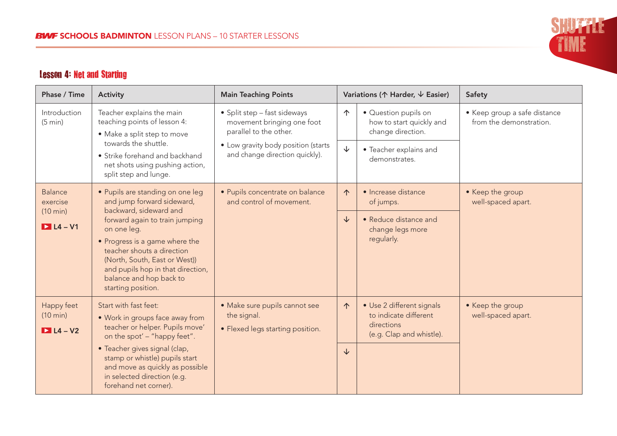

### Lesson 4: Net and Starting

| Phase / Time                        | <b>Activity</b>                                                                                                                                                                                                                                                                           | <b>Main Teaching Points</b>                                                          |                            | Variations ( $\uparrow$ Harder, $\downarrow$ Easier)                                         | Safety                                                  |
|-------------------------------------|-------------------------------------------------------------------------------------------------------------------------------------------------------------------------------------------------------------------------------------------------------------------------------------------|--------------------------------------------------------------------------------------|----------------------------|----------------------------------------------------------------------------------------------|---------------------------------------------------------|
| Introduction<br>(5 min)             | Teacher explains the main<br>teaching points of lesson 4:<br>• Make a split step to move                                                                                                                                                                                                  | • Split step - fast sideways<br>movement bringing one foot<br>parallel to the other. | 个                          | • Question pupils on<br>how to start quickly and<br>change direction.                        | • Keep group a safe distance<br>from the demonstration. |
|                                     | towards the shuttle.<br>• Strike forehand and backhand<br>net shots using pushing action,<br>split step and lunge.                                                                                                                                                                        | • Low gravity body position (starts<br>and change direction quickly).                | $\downarrow$               | • Teacher explains and<br>demonstrates.                                                      |                                                         |
| <b>Balance</b><br>exercise          | · Pupils are standing on one leg<br>and jump forward sideward,<br>backward, sideward and                                                                                                                                                                                                  | · Pupils concentrate on balance<br>and control of movement.                          | $\uparrow$                 | · Increase distance<br>of jumps.                                                             | • Keep the group<br>well-spaced apart.                  |
| (10 min)<br>$L4 - V1$               | forward again to train jumping<br>on one leg.<br>• Progress is a game where the<br>teacher shouts a direction<br>(North, South, East or West))<br>and pupils hop in that direction,<br>balance and hop back to<br>starting position.                                                      |                                                                                      | ↓                          | • Reduce distance and<br>change legs more<br>regularly.                                      |                                                         |
| Happy feet<br>(10 min)<br>$L4 - V2$ | Start with fast feet:<br>• Work in groups face away from<br>teacher or helper. Pupils move'<br>on the spot' - "happy feet".<br>· Teacher gives signal (clap,<br>stamp or whistle) pupils start<br>and move as quickly as possible<br>in selected direction (e.g.<br>forehand net corner). | · Make sure pupils cannot see<br>the signal.<br>• Flexed legs starting position.     | $\uparrow$<br>$\downarrow$ | • Use 2 different signals<br>to indicate different<br>directions<br>(e.g. Clap and whistle). | • Keep the group<br>well-spaced apart.                  |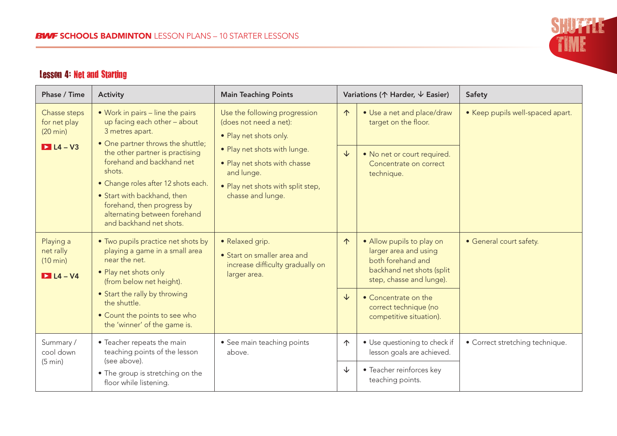

### Lesson 4: Net and Starting

| Phase / Time                                                 | <b>Activity</b>                                                                                                                                                                                                                                                            | <b>Main Teaching Points</b>                                                                                                          |                 | Variations ( $\uparrow$ Harder, $\downarrow$ Easier)                                                                                                                                                         | Safety                           |
|--------------------------------------------------------------|----------------------------------------------------------------------------------------------------------------------------------------------------------------------------------------------------------------------------------------------------------------------------|--------------------------------------------------------------------------------------------------------------------------------------|-----------------|--------------------------------------------------------------------------------------------------------------------------------------------------------------------------------------------------------------|----------------------------------|
| Chasse steps<br>for net play<br>$(20 \text{ min})$           | • Work in pairs – line the pairs<br>up facing each other - about<br>3 metres apart.                                                                                                                                                                                        | Use the following progression<br>(does not need a net):<br>• Play net shots only.                                                    | $\uparrow$      | • Use a net and place/draw<br>target on the floor.                                                                                                                                                           | • Keep pupils well-spaced apart. |
| $L4 - V3$                                                    | • One partner throws the shuttle;<br>the other partner is practising<br>forehand and backhand net<br>shots.<br>• Change roles after 12 shots each.<br>• Start with backhand, then<br>forehand, then progress by<br>alternating between forehand<br>and backhand net shots. | • Play net shots with lunge.<br>• Play net shots with chasse<br>and lunge.<br>. Play net shots with split step,<br>chasse and lunge. | $\downarrow$    | . No net or court required.<br>Concentrate on correct<br>technique.                                                                                                                                          |                                  |
| Playing a<br>net rally<br>(10 min)<br>$\blacksquare$ L4 – V4 | • Two pupils practice net shots by<br>playing a game in a small area<br>near the net.<br>• Play net shots only<br>(from below net height).<br>• Start the rally by throwing<br>the shuttle.<br>• Count the points to see who<br>the 'winner' of the game is.               | · Relaxed grip.<br>• Start on smaller area and<br>increase difficulty gradually on<br>larger area.                                   | $\uparrow$<br>↓ | • Allow pupils to play on<br>larger area and using<br>both forehand and<br>backhand net shots (split<br>step, chasse and lunge).<br>• Concentrate on the<br>correct technique (no<br>competitive situation). | • General court safety.          |
| Summary /<br>cool down                                       | • Teacher repeats the main<br>teaching points of the lesson<br>(see above).                                                                                                                                                                                                | • See main teaching points<br>above.                                                                                                 | $\uparrow$      | • Use questioning to check if<br>lesson goals are achieved.                                                                                                                                                  | • Correct stretching technique.  |
| (5 min)                                                      | • The group is stretching on the<br>floor while listening.                                                                                                                                                                                                                 |                                                                                                                                      | $\downarrow$    | • Teacher reinforces key<br>teaching points.                                                                                                                                                                 |                                  |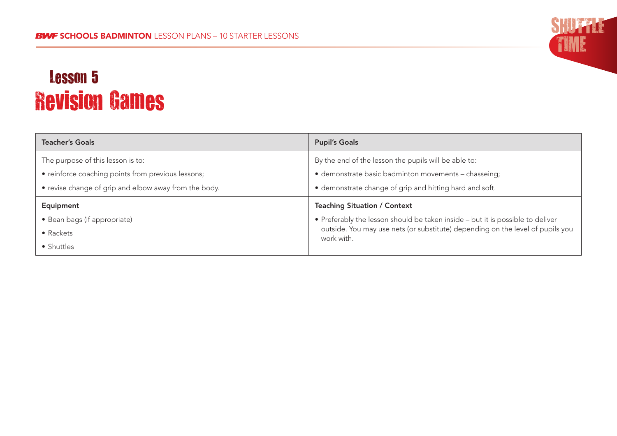

### Lesson 5 Revision Games

| <b>Teacher's Goals</b>                                                                                                                           | <b>Pupil's Goals</b>                                                                                                                                                    |
|--------------------------------------------------------------------------------------------------------------------------------------------------|-------------------------------------------------------------------------------------------------------------------------------------------------------------------------|
| The purpose of this lesson is to:<br>• reinforce coaching points from previous lessons;<br>• revise change of grip and elbow away from the body. | By the end of the lesson the pupils will be able to:<br>· demonstrate basic badminton movements - chasseing;<br>• demonstrate change of grip and hitting hard and soft. |
| Equipment                                                                                                                                        | <b>Teaching Situation / Context</b>                                                                                                                                     |
| • Bean bags (if appropriate)                                                                                                                     | • Preferably the lesson should be taken inside - but it is possible to deliver                                                                                          |
| • Rackets                                                                                                                                        | outside. You may use nets (or substitute) depending on the level of pupils you<br>work with.                                                                            |
| • Shuttles                                                                                                                                       |                                                                                                                                                                         |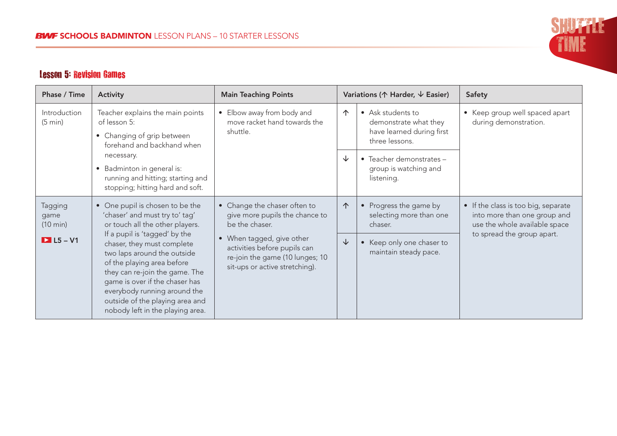

#### Lesson 5: Revision Games

| Phase / Time                                          | Activity                                                                                                                                                                                                                                                                                                                                                                                                    | <b>Main Teaching Points</b>                                                                                                                                                                                        |                            | Variations ( $\uparrow$ Harder, $\downarrow$ Easier)                                                                                                         | Safety                                                                                                                             |
|-------------------------------------------------------|-------------------------------------------------------------------------------------------------------------------------------------------------------------------------------------------------------------------------------------------------------------------------------------------------------------------------------------------------------------------------------------------------------------|--------------------------------------------------------------------------------------------------------------------------------------------------------------------------------------------------------------------|----------------------------|--------------------------------------------------------------------------------------------------------------------------------------------------------------|------------------------------------------------------------------------------------------------------------------------------------|
| Introduction<br>$(5 \text{ min})$                     | Teacher explains the main points<br>of lesson 5:<br>• Changing of grip between<br>forehand and backhand when<br>necessary.<br>• Badminton in general is:<br>running and hitting; starting and<br>stopping; hitting hard and soft.                                                                                                                                                                           | Elbow away from body and<br>$\bullet$<br>move racket hand towards the<br>shuttle.                                                                                                                                  | 个<br>↓                     | • Ask students to<br>demonstrate what they<br>have learned during first<br>three lessons.<br>• Teacher demonstrates -<br>group is watching and<br>listening. | • Keep group well spaced apart<br>during demonstration.                                                                            |
| Tagging<br>qame<br>$(10 \text{ min})$<br>$L = 5 - V1$ | • One pupil is chosen to be the<br>'chaser' and must try to' tag'<br>or touch all the other players.<br>If a pupil is 'tagged' by the<br>chaser, they must complete<br>two laps around the outside<br>of the playing area before<br>they can re-join the game. The<br>game is over if the chaser has<br>everybody running around the<br>outside of the playing area and<br>nobody left in the playing area. | • Change the chaser often to<br>give more pupils the chance to<br>be the chaser.<br>• When tagged, give other<br>activities before pupils can<br>re-join the game (10 lunges; 10<br>sit-ups or active stretching). | $\uparrow$<br>$\downarrow$ | • Progress the game by<br>selecting more than one<br>chaser.<br>Keep only one chaser to<br>$\bullet$<br>maintain steady pace.                                | • If the class is too big, separate<br>into more than one group and<br>use the whole available space<br>to spread the group apart. |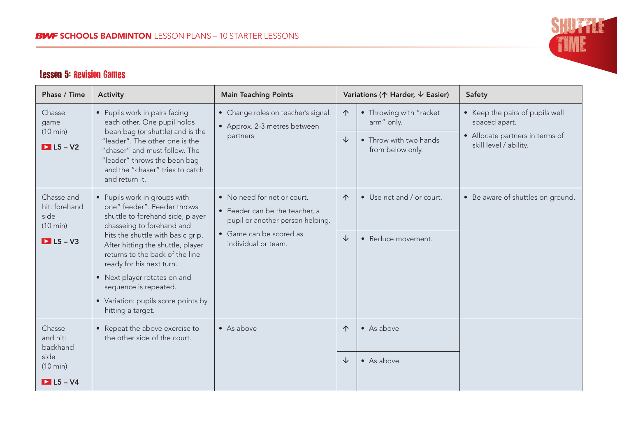

#### Lesson 5: Revision Games

| Phase / Time                                              | Activity                                                                                                                                                                                 | <b>Main Teaching Points</b>                                                                       | Variations ( $\uparrow$ Harder, $\downarrow$ Easier)<br>Safety |                                                           |
|-----------------------------------------------------------|------------------------------------------------------------------------------------------------------------------------------------------------------------------------------------------|---------------------------------------------------------------------------------------------------|----------------------------------------------------------------|-----------------------------------------------------------|
| Chasse<br>game                                            | • Pupils work in pairs facing<br>each other. One pupil holds                                                                                                                             | • Change roles on teacher's signal.<br>• Approx. 2-3 metres between                               | • Throwing with "racket<br>个<br>arm" only.                     | • Keep the pairs of pupils well<br>spaced apart.          |
| $(10 \text{ min})$<br>$\blacksquare$ L5 – V2              | bean bag (or shuttle) and is the<br>"leader". The other one is the<br>"chaser" and must follow. The<br>"leader" throws the bean bag<br>and the "chaser" tries to catch<br>and return it. | partners                                                                                          | ↓<br>• Throw with two hands<br>from below only.                | • Allocate partners in terms of<br>skill level / ability. |
| Chasse and<br>hit: forehand<br>side<br>$(10 \text{ min})$ | • Pupils work in groups with<br>one" feeder". Feeder throws<br>shuttle to forehand side, player<br>chasseing to forehand and                                                             | • No need for net or court.<br>• Feeder can be the teacher, a<br>pupil or another person helping. | • Use net and / or court.<br>个                                 | • Be aware of shuttles on ground.                         |
| $L = 15 - V3$                                             | hits the shuttle with basic grip.<br>After hitting the shuttle, player<br>returns to the back of the line<br>ready for his next turn.                                                    | • Game can be scored as<br>individual or team.                                                    | ↓<br>• Reduce movement.                                        |                                                           |
|                                                           | • Next player rotates on and<br>sequence is repeated.                                                                                                                                    |                                                                                                   |                                                                |                                                           |
|                                                           | • Variation: pupils score points by<br>hitting a target.                                                                                                                                 |                                                                                                   |                                                                |                                                           |
| Chasse<br>and hit:<br>backhand                            | • Repeat the above exercise to<br>the other side of the court.                                                                                                                           | • As above                                                                                        | • As above<br>个                                                |                                                           |
| side<br>$(10 \text{ min})$                                |                                                                                                                                                                                          |                                                                                                   | • As above<br>↓                                                |                                                           |
| $\triangleright$ L5 – V4                                  |                                                                                                                                                                                          |                                                                                                   |                                                                |                                                           |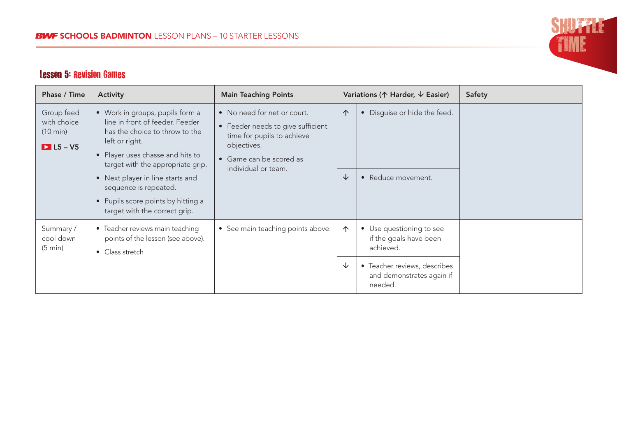# **SHUTTLE**<br>TIME

### Lesson 5: Revision Games

| Phase / Time                                                     | <b>Activity</b>                                                                                                                                                                                                                                                                                                                     | <b>Main Teaching Points</b>                                                                                                                                     | Variations ( $\uparrow$ Harder, $\downarrow$ Easier)                                                                                                       | Safety |
|------------------------------------------------------------------|-------------------------------------------------------------------------------------------------------------------------------------------------------------------------------------------------------------------------------------------------------------------------------------------------------------------------------------|-----------------------------------------------------------------------------------------------------------------------------------------------------------------|------------------------------------------------------------------------------------------------------------------------------------------------------------|--------|
| Group feed<br>with choice<br>$(10 \text{ min})$<br>$L = 15 - V5$ | • Work in groups, pupils form a<br>line in front of feeder. Feeder<br>has the choice to throw to the<br>left or right.<br>• Player uses chasse and hits to<br>target with the appropriate grip.<br>• Next player in line starts and<br>sequence is repeated.<br>• Pupils score points by hitting a<br>target with the correct grip. | • No need for net or court.<br>• Feeder needs to give sufficient<br>time for pupils to achieve<br>objectives.<br>• Game can be scored as<br>individual or team. | $\uparrow$<br>• Disguise or hide the feed.<br>↓<br>• Reduce movement.                                                                                      |        |
| Summary /<br>cool down<br>$(5 \text{ min})$                      | • Teacher reviews main teaching<br>points of the lesson (see above).<br>• Class stretch                                                                                                                                                                                                                                             | • See main teaching points above.                                                                                                                               | $\uparrow$<br>• Use questioning to see<br>if the goals have been<br>achieved.<br>↓<br>• Teacher reviews, describes<br>and demonstrates again if<br>needed. |        |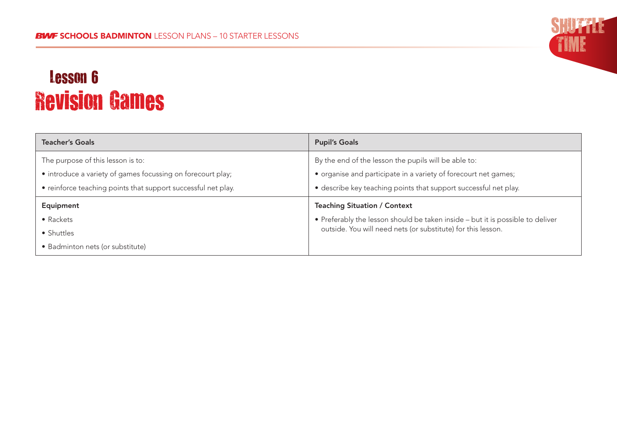

### Lesson 6 Revision Games

| <b>Teacher's Goals</b>                                                                           | <b>Pupil's Goals</b>                                                                                                    |
|--------------------------------------------------------------------------------------------------|-------------------------------------------------------------------------------------------------------------------------|
| The purpose of this lesson is to:<br>• introduce a variety of games focussing on forecourt play; | By the end of the lesson the pupils will be able to:<br>• organise and participate in a variety of forecourt net games; |
| • reinforce teaching points that support successful net play.                                    | • describe key teaching points that support successful net play.                                                        |
| Equipment                                                                                        | <b>Teaching Situation / Context</b>                                                                                     |
| • Rackets                                                                                        | • Preferably the lesson should be taken inside - but it is possible to deliver                                          |
| • Shuttles                                                                                       | outside. You will need nets (or substitute) for this lesson.                                                            |
| • Badminton nets (or substitute)                                                                 |                                                                                                                         |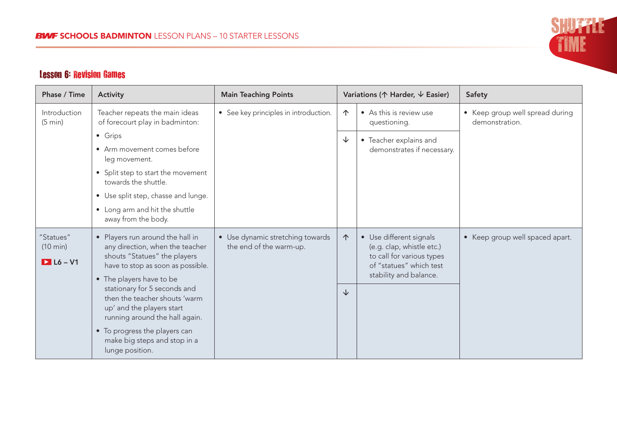

### Lesson 6: Revision Games

| Phase / Time                                     | <b>Activity</b>                                                                                                                                                                                                                                                                                                                                                                          | <b>Main Teaching Points</b>                                 |        | Variations ( $\uparrow$ Harder, $\downarrow$ Easier)                                                                                   | Safety                                            |
|--------------------------------------------------|------------------------------------------------------------------------------------------------------------------------------------------------------------------------------------------------------------------------------------------------------------------------------------------------------------------------------------------------------------------------------------------|-------------------------------------------------------------|--------|----------------------------------------------------------------------------------------------------------------------------------------|---------------------------------------------------|
| Introduction<br>(5 min)                          | Teacher repeats the main ideas<br>of forecourt play in badminton:                                                                                                                                                                                                                                                                                                                        | • See key principles in introduction.                       | 个      | • As this is review use<br>questioning.                                                                                                | • Keep group well spread during<br>demonstration. |
|                                                  | $\bullet$ Grips<br>• Arm movement comes before<br>leg movement.<br>• Split step to start the movement<br>towards the shuttle.<br>• Use split step, chasse and lunge.<br>• Long arm and hit the shuttle<br>away from the body.                                                                                                                                                            |                                                             | ↓      | • Teacher explains and<br>demonstrates if necessary.                                                                                   |                                                   |
| "Statues"<br>$(10 \text{ min})$<br>$L = 16 - V1$ | • Players run around the hall in<br>any direction, when the teacher<br>shouts "Statues" the players<br>have to stop as soon as possible.<br>• The players have to be<br>stationary for 5 seconds and<br>then the teacher shouts 'warm<br>up' and the players start<br>running around the hall again.<br>• To progress the players can<br>make big steps and stop in a<br>lunge position. | • Use dynamic stretching towards<br>the end of the warm-up. | 个<br>↓ | • Use different signals<br>(e.g. clap, whistle etc.)<br>to call for various types<br>of "statues" which test<br>stability and balance. | • Keep group well spaced apart.                   |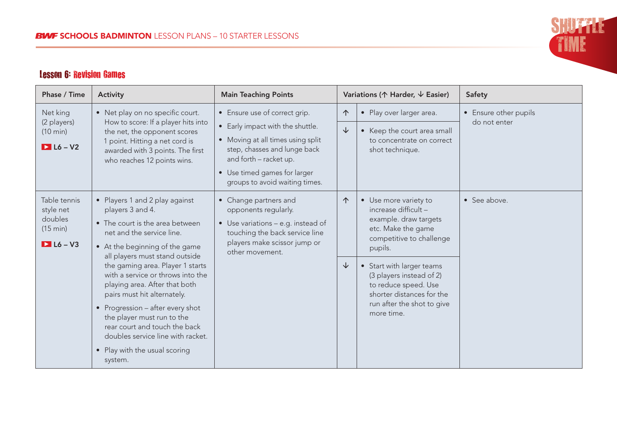### Lesson 6: Revision Games

| Phase / Time                                                               | <b>Activity</b>                                                                                                                                                                                                                                                                                                                                                                                                                                                                                                     | <b>Main Teaching Points</b>                                                                                                                                                                                                        |                   | Variations ( $\uparrow$ Harder, $\downarrow$ Easier)                                                                                                                                                                                                                                          | Safety                                |
|----------------------------------------------------------------------------|---------------------------------------------------------------------------------------------------------------------------------------------------------------------------------------------------------------------------------------------------------------------------------------------------------------------------------------------------------------------------------------------------------------------------------------------------------------------------------------------------------------------|------------------------------------------------------------------------------------------------------------------------------------------------------------------------------------------------------------------------------------|-------------------|-----------------------------------------------------------------------------------------------------------------------------------------------------------------------------------------------------------------------------------------------------------------------------------------------|---------------------------------------|
| Net king<br>(2 players)<br>(10 min)<br>$L = 16 - V2$                       | • Net play on no specific court.<br>How to score: If a player hits into<br>the net, the opponent scores<br>1 point. Hitting a net cord is<br>awarded with 3 points. The first<br>who reaches 12 points wins.                                                                                                                                                                                                                                                                                                        | • Ensure use of correct grip.<br>• Early impact with the shuttle.<br>• Moving at all times using split<br>step, chasses and lunge back<br>and forth - racket up.<br>• Use timed games for larger<br>groups to avoid waiting times. | 个<br>$\downarrow$ | • Play over larger area.<br>• Keep the court area small<br>to concentrate on correct<br>shot technique.                                                                                                                                                                                       | • Ensure other pupils<br>do not enter |
| Table tennis<br>style net<br>doubles<br>(15 min)<br>$\blacksquare$ L6 – V3 | • Players 1 and 2 play against<br>players 3 and 4.<br>• The court is the area between<br>net and the service line.<br>• At the beginning of the game<br>all players must stand outside<br>the gaming area. Player 1 starts<br>with a service or throws into the<br>playing area. After that both<br>pairs must hit alternately.<br>• Progression – after every shot<br>the player must run to the<br>rear court and touch the back<br>doubles service line with racket.<br>• Play with the usual scoring<br>system. | • Change partners and<br>opponents regularly.<br>• Use variations - e.g. instead of<br>touching the back service line<br>players make scissor jump or<br>other movement.                                                           | ↑<br>↓            | • Use more variety to<br>increase difficult -<br>example. draw targets<br>etc. Make the game<br>competitive to challenge<br>pupils.<br>• Start with larger teams<br>(3 players instead of 2)<br>to reduce speed. Use<br>shorter distances for the<br>run after the shot to give<br>more time. | • See above.                          |

**SHUTTLE**<br>TIME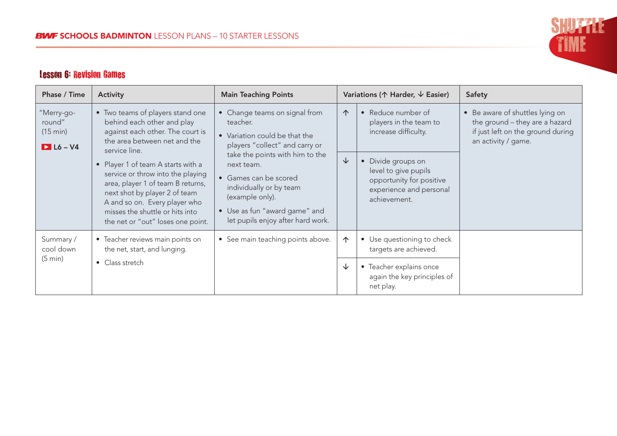

#### Lesson 6: Revision Games

| Phase / Time                                               | <b>Activity</b>                                                                                                                                                                                                                                                                                                                                                                                               | <b>Main Teaching Points</b>                                                                                                                                                                                                                                                                                |                            | Variations ( $\uparrow$ Harder, $\downarrow$ Easier)                                                                                                                                    | Safety                                                                                                                        |
|------------------------------------------------------------|---------------------------------------------------------------------------------------------------------------------------------------------------------------------------------------------------------------------------------------------------------------------------------------------------------------------------------------------------------------------------------------------------------------|------------------------------------------------------------------------------------------------------------------------------------------------------------------------------------------------------------------------------------------------------------------------------------------------------------|----------------------------|-----------------------------------------------------------------------------------------------------------------------------------------------------------------------------------------|-------------------------------------------------------------------------------------------------------------------------------|
| "Merry-go-<br>round"<br>(15 min)<br>$\blacksquare$ L6 – V4 | • Two teams of players stand one<br>behind each other and play<br>against each other. The court is<br>the area between net and the<br>service line.<br>• Player 1 of team A starts with a<br>service or throw into the playing<br>area, player 1 of team B returns,<br>next shot by player 2 of team<br>A and so on. Every player who<br>misses the shuttle or hits into<br>the net or "out" loses one point. | • Change teams on signal from<br>teacher.<br>• Variation could be that the<br>players "collect" and carry or<br>take the points with him to the<br>next team.<br>• Games can be scored<br>individually or by team<br>(example only).<br>• Use as fun "award game" and<br>let pupils enjoy after hard work. | $\uparrow$<br>$\downarrow$ | • Reduce number of<br>players in the team to<br>increase difficulty.<br>Divide groups on<br>level to give pupils<br>opportunity for positive<br>experience and personal<br>achievement. | • Be aware of shuttles lying on<br>the ground - they are a hazard<br>if just left on the ground during<br>an activity / game. |
| Summary /<br>cool down                                     | • Teacher reviews main points on<br>the net, start, and lunging.                                                                                                                                                                                                                                                                                                                                              | • See main teaching points above.                                                                                                                                                                                                                                                                          | $\uparrow$                 | • Use questioning to check<br>targets are achieved.                                                                                                                                     |                                                                                                                               |
| (5 min)                                                    | • Class stretch                                                                                                                                                                                                                                                                                                                                                                                               |                                                                                                                                                                                                                                                                                                            | ↓                          | • Teacher explains once<br>again the key principles of<br>net play.                                                                                                                     |                                                                                                                               |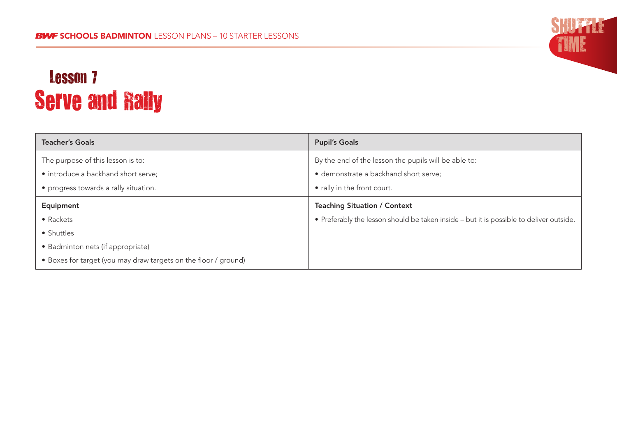

### Lesson 7 Serve and Rally

| <b>Teacher's Goals</b>                                          | <b>Pupil's Goals</b>                                                                    |
|-----------------------------------------------------------------|-----------------------------------------------------------------------------------------|
| The purpose of this lesson is to:                               | By the end of the lesson the pupils will be able to:                                    |
| · introduce a backhand short serve;                             | · demonstrate a backhand short serve;                                                   |
| • progress towards a rally situation.                           | • rally in the front court.                                                             |
| Equipment                                                       | <b>Teaching Situation / Context</b>                                                     |
| • Rackets                                                       | • Preferably the lesson should be taken inside - but it is possible to deliver outside. |
| • Shuttles                                                      |                                                                                         |
| • Badminton nets (if appropriate)                               |                                                                                         |
| • Boxes for target (you may draw targets on the floor / ground) |                                                                                         |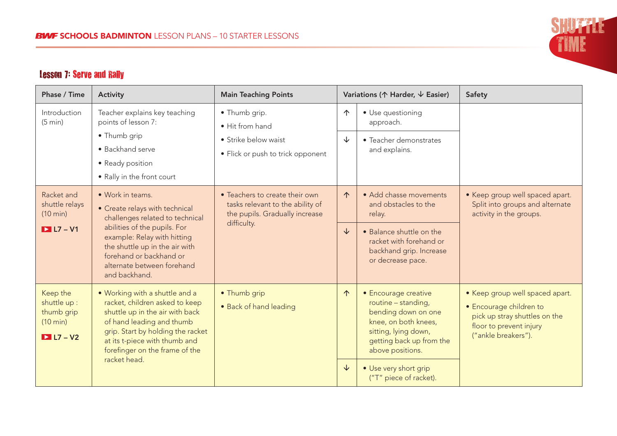## **SHUTTLE**<br>TIME

### Lesson 7: Serve and Rally

| Phase / Time                                                              | <b>Activity</b>                                                                                                                                                                                                                                                  | <b>Main Teaching Points</b>                                                                                         |                            | Variations ( $\uparrow$ Harder, $\downarrow$ Easier)                                                                                                                                                                  | Safety                                                                                                                                        |
|---------------------------------------------------------------------------|------------------------------------------------------------------------------------------------------------------------------------------------------------------------------------------------------------------------------------------------------------------|---------------------------------------------------------------------------------------------------------------------|----------------------------|-----------------------------------------------------------------------------------------------------------------------------------------------------------------------------------------------------------------------|-----------------------------------------------------------------------------------------------------------------------------------------------|
| Introduction<br>(5 min)                                                   | Teacher explains key teaching<br>points of lesson 7:<br>• Thumb grip<br>· Backhand serve<br>• Ready position<br>• Rally in the front court                                                                                                                       | • Thumb grip.<br>• Hit from hand<br>• Strike below waist<br>• Flick or push to trick opponent                       | 个<br>$\downarrow$          | • Use questioning<br>approach.<br>• Teacher demonstrates<br>and explains.                                                                                                                                             |                                                                                                                                               |
| Racket and<br>shuttle relays<br>$(10 \text{ min})$<br>$L1 - V1$           | • Work in teams.<br>• Create relays with technical<br>challenges related to technical<br>abilities of the pupils. For<br>example: Relay with hitting<br>the shuttle up in the air with<br>forehand or backhand or<br>alternate between forehand<br>and backhand. | • Teachers to create their own<br>tasks relevant to the ability of<br>the pupils. Gradually increase<br>difficulty. | $\uparrow$<br>$\downarrow$ | • Add chasse movements<br>and obstacles to the<br>relay.<br>• Balance shuttle on the<br>racket with forehand or<br>backhand grip. Increase<br>or decrease pace.                                                       | • Keep group well spaced apart.<br>Split into groups and alternate<br>activity in the groups.                                                 |
| Keep the<br>shuttle up :<br>thumb grip<br>$(10 \text{ min})$<br>$L1 - V2$ | . Working with a shuttle and a<br>racket, children asked to keep<br>shuttle up in the air with back<br>of hand leading and thumb<br>grip. Start by holding the racket<br>at its t-piece with thumb and<br>forefinger on the frame of the<br>racket head.         | • Thumb grip<br>• Back of hand leading                                                                              | $\uparrow$<br>$\downarrow$ | · Encourage creative<br>routine - standing,<br>bending down on one<br>knee, on both knees,<br>sitting, lying down,<br>getting back up from the<br>above positions.<br>• Use very short grip<br>("T" piece of racket). | • Keep group well spaced apart.<br>· Encourage children to<br>pick up stray shuttles on the<br>floor to prevent injury<br>("ankle breakers"). |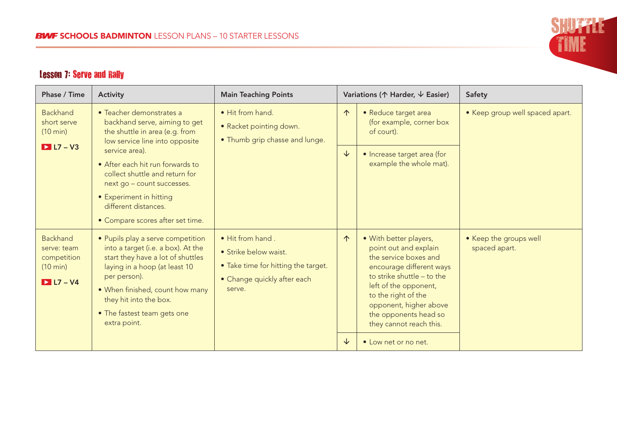

### Lesson 7: Serve and Rally

| Phase / Time                                                                        | <b>Activity</b>                                                                                                                                                                                                                                                                                                                            | <b>Main Teaching Points</b>                                                                                               |                            | Variations ( $\uparrow$ Harder, $\downarrow$ Easier)                                                                                                                                                                                                                                     | <b>Safety</b>                           |
|-------------------------------------------------------------------------------------|--------------------------------------------------------------------------------------------------------------------------------------------------------------------------------------------------------------------------------------------------------------------------------------------------------------------------------------------|---------------------------------------------------------------------------------------------------------------------------|----------------------------|------------------------------------------------------------------------------------------------------------------------------------------------------------------------------------------------------------------------------------------------------------------------------------------|-----------------------------------------|
| <b>Backhand</b><br>short serve<br>$(10 \text{ min})$<br>$L7 - V3$                   | • Teacher demonstrates a<br>backhand serve, aiming to get<br>the shuttle in area (e.g. from<br>low service line into opposite<br>service area).<br>• After each hit run forwards to<br>collect shuttle and return for<br>next go - count successes.<br>• Experiment in hitting<br>different distances.<br>• Compare scores after set time. | • Hit from hand.<br>• Racket pointing down.<br>• Thumb grip chasse and lunge.                                             | $\uparrow$<br>$\downarrow$ | · Reduce target area<br>(for example, corner box<br>of court).<br>· Increase target area (for<br>example the whole mat).                                                                                                                                                                 | • Keep group well spaced apart.         |
| <b>Backhand</b><br>serve: team<br>competition<br>$(10 \text{ min})$<br>$L = 17 - 4$ | • Pupils play a serve competition<br>into a target (i.e. a box). At the<br>start they have a lot of shuttles<br>laying in a hoop (at least 10<br>per person).<br>• When finished, count how many<br>they hit into the box.<br>• The fastest team gets one<br>extra point.                                                                  | • Hit from hand.<br>• Strike below waist.<br>• Take time for hitting the target.<br>• Change quickly after each<br>serve. | $\uparrow$<br>$\downarrow$ | • With better players,<br>point out and explain<br>the service boxes and<br>encourage different ways<br>to strike shuttle - to the<br>left of the opponent,<br>to the right of the<br>opponent, higher above<br>the opponents head so<br>they cannot reach this.<br>• Low net or no net. | • Keep the groups well<br>spaced apart. |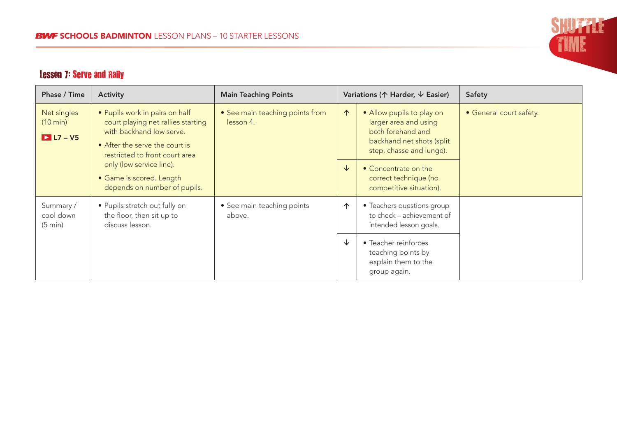

### Lesson 7: Serve and Rally

| Phase / Time                                       | <b>Activity</b>                                                                                                                                                                                                                                              | <b>Main Teaching Points</b>                  |                 | Variations ( $\uparrow$ Harder, $\downarrow$ Easier)                                                                                                                                                         | <b>Safety</b>           |
|----------------------------------------------------|--------------------------------------------------------------------------------------------------------------------------------------------------------------------------------------------------------------------------------------------------------------|----------------------------------------------|-----------------|--------------------------------------------------------------------------------------------------------------------------------------------------------------------------------------------------------------|-------------------------|
| Net singles<br>$(10 \text{ min})$<br>$L = 17 - 15$ | • Pupils work in pairs on half<br>court playing net rallies starting<br>with backhand low serve.<br>• After the serve the court is<br>restricted to front court area<br>only (low service line).<br>• Game is scored. Length<br>depends on number of pupils. | • See main teaching points from<br>lesson 4. | $\uparrow$<br>↓ | • Allow pupils to play on<br>larger area and using<br>both forehand and<br>backhand net shots (split<br>step, chasse and lunge).<br>• Concentrate on the<br>correct technique (no<br>competitive situation). | • General court safety. |
| Summary /<br>cool down<br>$(5 \text{ min})$        | • Pupils stretch out fully on<br>the floor, then sit up to<br>discuss lesson.                                                                                                                                                                                | • See main teaching points<br>above.         | ↑<br>◡          | • Teachers questions group<br>to check - achievement of<br>intended lesson goals.<br>• Teacher reinforces<br>teaching points by<br>explain them to the<br>group again.                                       |                         |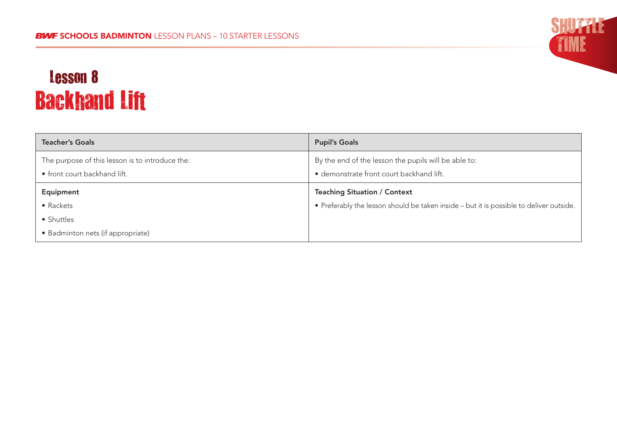

### Lesson 8 Backhand Lift

| <b>Teacher's Goals</b>                                                          | <b>Pupil's Goals</b>                                                                             |
|---------------------------------------------------------------------------------|--------------------------------------------------------------------------------------------------|
| The purpose of this lesson is to introduce the:<br>• front court backhand lift. | By the end of the lesson the pupils will be able to:<br>· demonstrate front court backhand lift. |
| Equipment                                                                       | <b>Teaching Situation / Context</b>                                                              |
| • Rackets                                                                       | • Preferably the lesson should be taken inside - but it is possible to deliver outside.          |
| • Shuttles                                                                      |                                                                                                  |
| • Badminton nets (if appropriate)                                               |                                                                                                  |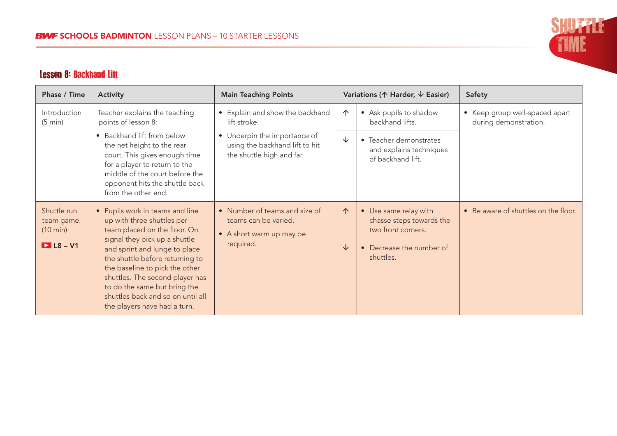

### Lesson 8: Backhand Lift

| Phase / Time                                    | Activity                                                                                                                                                                                                                                                                    | <b>Main Teaching Points</b>                                                                 |              | Variations ( $\uparrow$ Harder, $\downarrow$ Easier)                    | Safety                                                  |
|-------------------------------------------------|-----------------------------------------------------------------------------------------------------------------------------------------------------------------------------------------------------------------------------------------------------------------------------|---------------------------------------------------------------------------------------------|--------------|-------------------------------------------------------------------------|---------------------------------------------------------|
| Introduction<br>(5 min)                         | Teacher explains the teaching<br>points of lesson 8:                                                                                                                                                                                                                        | Explain and show the backhand<br>$\bullet$<br>lift stroke.                                  | 个            | • Ask pupils to shadow<br>backhand lifts.                               | • Keep group well-spaced apart<br>during demonstration. |
|                                                 | • Backhand lift from below<br>the net height to the rear<br>court. This gives enough time<br>for a player to return to the<br>middle of the court before the<br>opponent hits the shuttle back<br>from the other end.                                                       | • Underpin the importance of<br>using the backhand lift to hit<br>the shuttle high and far. | $\downarrow$ | • Teacher demonstrates<br>and explains techniques<br>of backhand lift.  |                                                         |
| Shuttle run<br>team game.<br>$(10 \text{ min})$ | • Pupils work in teams and line<br>up with three shuttles per<br>team placed on the floor. On                                                                                                                                                                               | • Number of teams and size of<br>teams can be varied.<br>• A short warm up may be           | $\uparrow$   | • Use same relay with<br>chasse steps towards the<br>two front corners. | • Be aware of shuttles on the floor.                    |
| $L = 18 - V1$                                   | signal they pick up a shuttle<br>and sprint and lunge to place<br>the shuttle before returning to<br>the baseline to pick the other<br>shuttles. The second player has<br>to do the same but bring the<br>shuttles back and so on until all<br>the players have had a turn. | required.                                                                                   | ↓            | • Decrease the number of<br>shuttles.                                   |                                                         |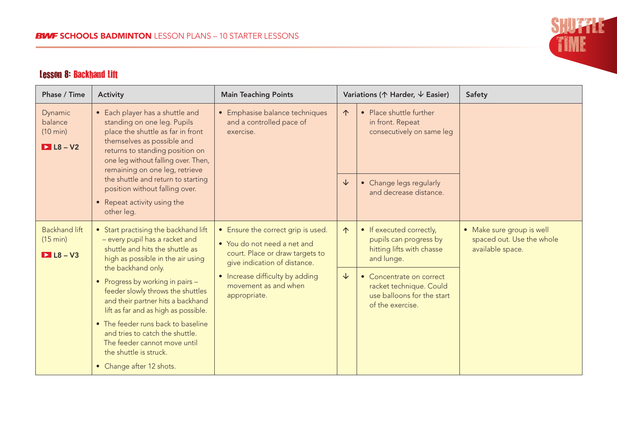## **SHUFFLE**<br>TIME

### Lesson 8: Backhand Lift

| Phase / Time                                             | <b>Activity</b>                                                                                                                                                                                                                               | <b>Main Teaching Points</b>                                                                                                          |              | Variations ( $\uparrow$ Harder, $\downarrow$ Easier)                                                  | Safety                                                                     |
|----------------------------------------------------------|-----------------------------------------------------------------------------------------------------------------------------------------------------------------------------------------------------------------------------------------------|--------------------------------------------------------------------------------------------------------------------------------------|--------------|-------------------------------------------------------------------------------------------------------|----------------------------------------------------------------------------|
| Dynamic<br>balance<br>(10 min)<br>$\blacksquare$ L8 – V2 | • Each player has a shuttle and<br>standing on one leg. Pupils<br>place the shuttle as far in front<br>themselves as possible and<br>returns to standing position on<br>one leg without falling over. Then,<br>remaining on one leg, retrieve | Emphasise balance techniques<br>$\bullet$<br>and a controlled pace of<br>exercise.                                                   | $\uparrow$   | • Place shuttle further<br>in front. Repeat<br>consecutively on same leg                              |                                                                            |
|                                                          | the shuttle and return to starting<br>position without falling over.<br>• Repeat activity using the<br>other leg.                                                                                                                             |                                                                                                                                      | $\downarrow$ | • Change legs regularly<br>and decrease distance.                                                     |                                                                            |
| <b>Backhand lift</b><br>(15 min)<br>$L = 18 - V3$        | • Start practising the backhand lift<br>- every pupil has a racket and<br>shuttle and hits the shuttle as<br>high as possible in the air using<br>the backhand only.                                                                          | • Ensure the correct grip is used.<br>• You do not need a net and<br>court. Place or draw targets to<br>give indication of distance. | $\uparrow$   | • If executed correctly,<br>pupils can progress by<br>hitting lifts with chasse<br>and lunge.         | • Make sure group is well<br>spaced out. Use the whole<br>available space. |
|                                                          | • Progress by working in pairs -<br>feeder slowly throws the shuttles<br>and their partner hits a backhand<br>lift as far and as high as possible.                                                                                            | • Increase difficulty by adding<br>movement as and when<br>appropriate.                                                              | $\downarrow$ | • Concentrate on correct<br>racket technique. Could<br>use balloons for the start<br>of the exercise. |                                                                            |
|                                                          | • The feeder runs back to baseline<br>and tries to catch the shuttle.<br>The feeder cannot move until<br>the shuttle is struck.                                                                                                               |                                                                                                                                      |              |                                                                                                       |                                                                            |
|                                                          | • Change after 12 shots.                                                                                                                                                                                                                      |                                                                                                                                      |              |                                                                                                       |                                                                            |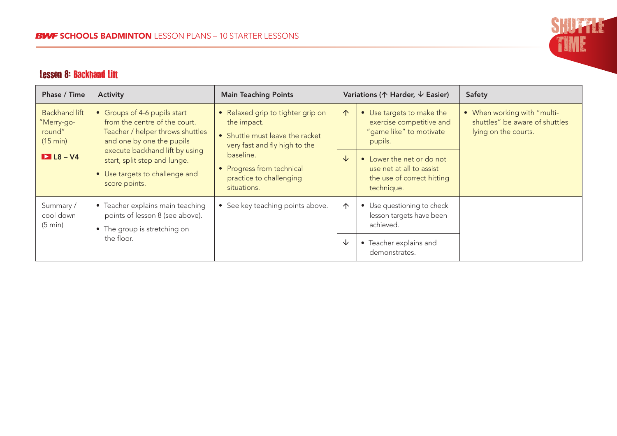

### Lesson 8: Backhand Lift

| Phase / Time                                             | Activity                                                                                                                       | <b>Main Teaching Points</b>                                                                                                                                                                              |            | Variations ( $\uparrow$ Harder, $\downarrow$ Easier)                                              | Safety                                                                                |
|----------------------------------------------------------|--------------------------------------------------------------------------------------------------------------------------------|----------------------------------------------------------------------------------------------------------------------------------------------------------------------------------------------------------|------------|---------------------------------------------------------------------------------------------------|---------------------------------------------------------------------------------------|
| <b>Backhand lift</b><br>"Merry-go-<br>round"<br>(15 min) | • Groups of 4-6 pupils start<br>from the centre of the court.<br>Teacher / helper throws shuttles<br>and one by one the pupils | • Relaxed grip to tighter grip on<br>the impact.<br>• Shuttle must leave the racket<br>very fast and fly high to the<br>baseline.<br>• Progress from technical<br>practice to challenging<br>situations. | $\uparrow$ | • Use targets to make the<br>exercise competitive and<br>"game like" to motivate<br>pupils.       | • When working with "multi-<br>shuttles" be aware of shuttles<br>lying on the courts. |
| $L8 - V4$                                                | execute backhand lift by using<br>start, split step and lunge.<br>• Use targets to challenge and<br>score points.              |                                                                                                                                                                                                          | ↓          | • Lower the net or do not<br>use net at all to assist<br>the use of correct hitting<br>technique. |                                                                                       |
| Summary /<br>cool down<br>$(5 \text{ min})$              | • Teacher explains main teaching<br>points of lesson 8 (see above).<br>• The group is stretching on                            | See key teaching points above.                                                                                                                                                                           | $\uparrow$ | • Use questioning to check<br>lesson targets have been<br>achieved.                               |                                                                                       |
|                                                          | the floor.                                                                                                                     |                                                                                                                                                                                                          | ◡          | • Teacher explains and<br>demonstrates.                                                           |                                                                                       |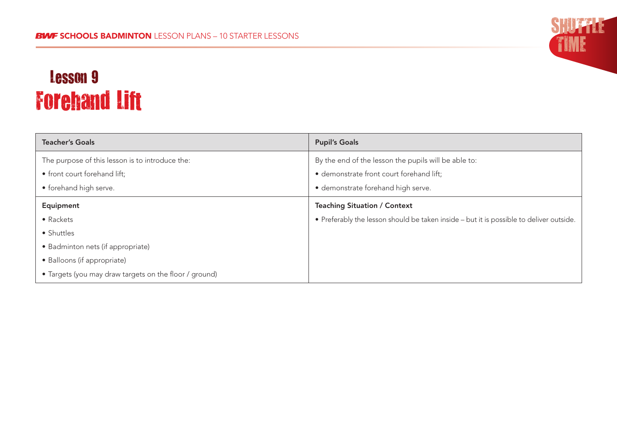

## Lesson 9 Forehand Lift

| <b>Teacher's Goals</b>                                 | <b>Pupil's Goals</b>                                                                    |
|--------------------------------------------------------|-----------------------------------------------------------------------------------------|
| The purpose of this lesson is to introduce the:        | By the end of the lesson the pupils will be able to:                                    |
| • front court forehand lift;                           | · demonstrate front court forehand lift;                                                |
| • forehand high serve.                                 | · demonstrate forehand high serve.                                                      |
| Equipment                                              | <b>Teaching Situation / Context</b>                                                     |
| • Rackets                                              | • Preferably the lesson should be taken inside - but it is possible to deliver outside. |
| • Shuttles                                             |                                                                                         |
| • Badminton nets (if appropriate)                      |                                                                                         |
| • Balloons (if appropriate)                            |                                                                                         |
| • Targets (you may draw targets on the floor / ground) |                                                                                         |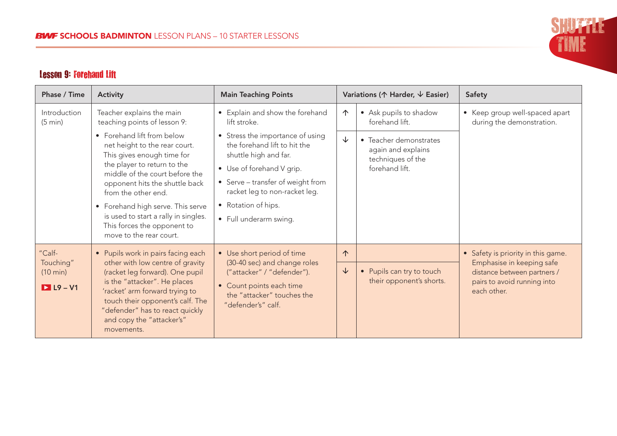

### Lesson 9: Forehand Lift

| Phase / Time                                             | <b>Activity</b>                                                                                                                                                                                                                                                                                                                                                                                                         | <b>Main Teaching Points</b>                                                                                                                                                                                                                                                                      | Variations ( $\uparrow$ Harder, $\downarrow$ Easier)                                                                                                          | <b>Safety</b>                                                                                                                                |
|----------------------------------------------------------|-------------------------------------------------------------------------------------------------------------------------------------------------------------------------------------------------------------------------------------------------------------------------------------------------------------------------------------------------------------------------------------------------------------------------|--------------------------------------------------------------------------------------------------------------------------------------------------------------------------------------------------------------------------------------------------------------------------------------------------|---------------------------------------------------------------------------------------------------------------------------------------------------------------|----------------------------------------------------------------------------------------------------------------------------------------------|
| Introduction<br>(5 min)                                  | Teacher explains the main<br>teaching points of lesson 9:<br>• Forehand lift from below<br>net height to the rear court.<br>This gives enough time for<br>the player to return to the<br>middle of the court before the<br>opponent hits the shuttle back<br>from the other end.<br>• Forehand high serve. This serve<br>is used to start a rally in singles.<br>This forces the opponent to<br>move to the rear court. | • Explain and show the forehand<br>lift stroke.<br>• Stress the importance of using<br>the forehand lift to hit the<br>shuttle high and far.<br>• Use of forehand V grip.<br>• Serve - transfer of weight from<br>racket leg to non-racket leg.<br>• Rotation of hips.<br>• Full underarm swing. | $\uparrow$<br>• Ask pupils to shadow<br>forehand lift.<br>$\downarrow$<br>• Teacher demonstrates<br>again and explains<br>techniques of the<br>forehand lift. | • Keep group well-spaced apart<br>during the demonstration.                                                                                  |
| "Calf-<br>Touching"<br>$(10 \text{ min})$<br>$D$ L9 – V1 | • Pupils work in pairs facing each<br>other with low centre of gravity<br>(racket leg forward). One pupil<br>is the "attacker". He places<br>'racket' arm forward trying to<br>touch their opponent's calf. The<br>"defender" has to react quickly<br>and copy the "attacker's"<br>movements.                                                                                                                           | • Use short period of time<br>(30-40 sec) and change roles<br>("attacker" / "defender").<br>• Count points each time<br>the "attacker" touches the<br>"defender's" calf.                                                                                                                         | $\uparrow$<br>$\downarrow$<br>• Pupils can try to touch<br>their opponent's shorts.                                                                           | • Safety is priority in this game.<br>Emphasise in keeping safe<br>distance between partners /<br>pairs to avoid running into<br>each other. |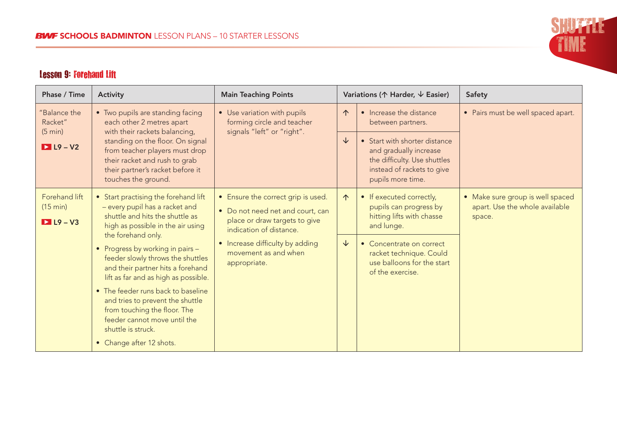

### Lesson 9: Forehand Lift

| Phase / Time                           | <b>Activity</b>                                                                                                                                                                                 | <b>Main Teaching Points</b>                                                                                                        |              | Variations ( $\uparrow$ Harder, $\downarrow$ Easier)                                                                                       | Safety                                                                                                           |  |
|----------------------------------------|-------------------------------------------------------------------------------------------------------------------------------------------------------------------------------------------------|------------------------------------------------------------------------------------------------------------------------------------|--------------|--------------------------------------------------------------------------------------------------------------------------------------------|------------------------------------------------------------------------------------------------------------------|--|
| "Balance the<br>Racket"                | • Two pupils are standing facing<br>each other 2 metres apart                                                                                                                                   | • Use variation with pupils<br>forming circle and teacher                                                                          | $\uparrow$   | • Increase the distance<br>between partners.                                                                                               | • Pairs must be well spaced apart.                                                                               |  |
| (5 min)<br>$L9 - V2$                   | with their rackets balancing,<br>standing on the floor. On signal<br>from teacher players must drop<br>their racket and rush to grab<br>their partner's racket before it<br>touches the ground. | signals "left" or "right".                                                                                                         | $\downarrow$ | • Start with shorter distance<br>and gradually increase<br>the difficulty. Use shuttles<br>instead of rackets to give<br>pupils more time. |                                                                                                                  |  |
| Forehand lift<br>(15 min)<br>$L9 - V3$ | • Start practising the forehand lift<br>- every pupil has a racket and<br>shuttle and hits the shuttle as<br>high as possible in the air using                                                  | • Ensure the correct grip is used.<br>• Do not need net and court, can<br>place or draw targets to give<br>indication of distance. | 个            | • If executed correctly,<br>pupils can progress by<br>hitting lifts with chasse<br>and lunge.                                              | • Make sure group is well spaced<br>apart. Use the whole available<br>space.                                     |  |
|                                        | the forehand only.<br>• Progress by working in pairs -<br>feeder slowly throws the shuttles<br>and their partner hits a forehand<br>lift as far and as high as possible.                        | • Increase difficulty by adding<br>movement as and when<br>appropriate.                                                            |              | $\downarrow$                                                                                                                               | Concentrate on correct<br>$\bullet$<br>racket technique. Could<br>use balloons for the start<br>of the exercise. |  |
|                                        | • The feeder runs back to baseline<br>and tries to prevent the shuttle<br>from touching the floor. The<br>feeder cannot move until the<br>shuttle is struck.                                    |                                                                                                                                    |              |                                                                                                                                            |                                                                                                                  |  |
|                                        | • Change after 12 shots.                                                                                                                                                                        |                                                                                                                                    |              |                                                                                                                                            |                                                                                                                  |  |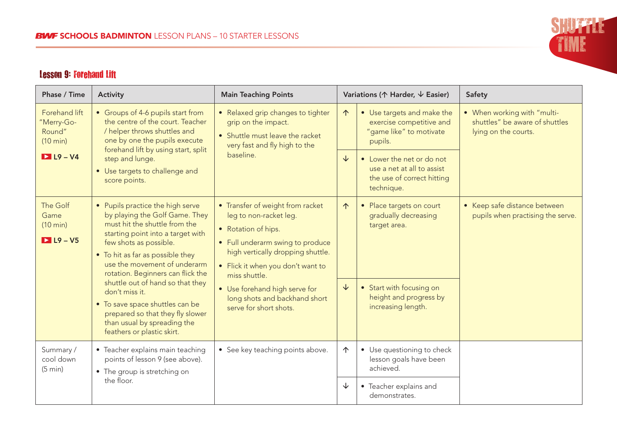

### Lesson 9: Forehand Lift

| Phase / Time                                      | <b>Activity</b>                                                                                                                                                                                                                                                                                                                                                                                                                                                       | <b>Main Teaching Points</b>                                                                                                                                                                                                                                                                                  |                            | Variations ( $\uparrow$ Harder, $\downarrow$ Easier)                                                                                         | Safety                                                                                |
|---------------------------------------------------|-----------------------------------------------------------------------------------------------------------------------------------------------------------------------------------------------------------------------------------------------------------------------------------------------------------------------------------------------------------------------------------------------------------------------------------------------------------------------|--------------------------------------------------------------------------------------------------------------------------------------------------------------------------------------------------------------------------------------------------------------------------------------------------------------|----------------------------|----------------------------------------------------------------------------------------------------------------------------------------------|---------------------------------------------------------------------------------------|
| Forehand lift<br>"Merry-Go-<br>Round"<br>(10 min) | • Groups of 4-6 pupils start from<br>the centre of the court. Teacher<br>/ helper throws shuttles and<br>one by one the pupils execute<br>forehand lift by using start, split                                                                                                                                                                                                                                                                                         | • Relaxed grip changes to tighter<br>grip on the impact.<br>• Shuttle must leave the racket<br>very fast and fly high to the                                                                                                                                                                                 | $\uparrow$                 | • Use targets and make the<br>exercise competitive and<br>"game like" to motivate<br>pupils.                                                 | • When working with "multi-<br>shuttles" be aware of shuttles<br>lying on the courts. |
| $\triangleright$ L9 – V4                          | step and lunge.<br>• Use targets to challenge and<br>score points.                                                                                                                                                                                                                                                                                                                                                                                                    | baseline.                                                                                                                                                                                                                                                                                                    | $\downarrow$               | • Lower the net or do not<br>use a net at all to assist<br>the use of correct hitting<br>technique.                                          |                                                                                       |
| The Golf<br>Game<br>(10 min)<br>$L = 19 - V5$     | • Pupils practice the high serve<br>by playing the Golf Game. They<br>must hit the shuttle from the<br>starting point into a target with<br>few shots as possible.<br>• To hit as far as possible they<br>use the movement of underarm<br>rotation. Beginners can flick the<br>shuttle out of hand so that they<br>don't miss it.<br>• To save space shuttles can be<br>prepared so that they fly slower<br>than usual by spreading the<br>feathers or plastic skirt. | • Transfer of weight from racket<br>leg to non-racket leg.<br>• Rotation of hips.<br>• Full underarm swing to produce<br>high vertically dropping shuttle.<br>• Flick it when you don't want to<br>miss shuttle.<br>• Use forehand high serve for<br>long shots and backhand short<br>serve for short shots. | $\uparrow$<br>$\downarrow$ | • Place targets on court<br>gradually decreasing<br>target area.<br>• Start with focusing on<br>height and progress by<br>increasing length. | • Keep safe distance between<br>pupils when practising the serve.                     |
| Summary /<br>cool down<br>$(5 \text{ min})$       | • Teacher explains main teaching<br>points of lesson 9 (see above).<br>• The group is stretching on<br>the floor.                                                                                                                                                                                                                                                                                                                                                     | • See key teaching points above.                                                                                                                                                                                                                                                                             | 个<br>↓                     | • Use questioning to check<br>lesson goals have been<br>achieved.<br>• Teacher explains and<br>demonstrates.                                 |                                                                                       |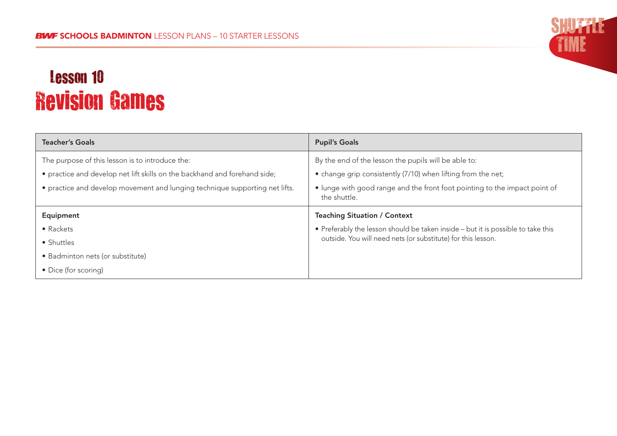

### Lesson 10 Revision Games

| <b>Teacher's Goals</b>                                                                                                                                                                                      | <b>Pupil's Goals</b>                                                                                                                                                                               |  |  |  |
|-------------------------------------------------------------------------------------------------------------------------------------------------------------------------------------------------------------|----------------------------------------------------------------------------------------------------------------------------------------------------------------------------------------------------|--|--|--|
| The purpose of this lesson is to introduce the:<br>• practice and develop net lift skills on the backhand and forehand side;<br>• practice and develop movement and lunging technique supporting net lifts. | By the end of the lesson the pupils will be able to:<br>• change grip consistently (7/10) when lifting from the net;<br>• lunge with good range and the front foot pointing to the impact point of |  |  |  |
|                                                                                                                                                                                                             | the shuttle.                                                                                                                                                                                       |  |  |  |
| Equipment                                                                                                                                                                                                   | <b>Teaching Situation / Context</b>                                                                                                                                                                |  |  |  |
| • Rackets                                                                                                                                                                                                   | • Preferably the lesson should be taken inside - but it is possible to take this                                                                                                                   |  |  |  |
| • Shuttles                                                                                                                                                                                                  | outside. You will need nets (or substitute) for this lesson.                                                                                                                                       |  |  |  |
| · Badminton nets (or substitute)                                                                                                                                                                            |                                                                                                                                                                                                    |  |  |  |
| • Dice (for scoring)                                                                                                                                                                                        |                                                                                                                                                                                                    |  |  |  |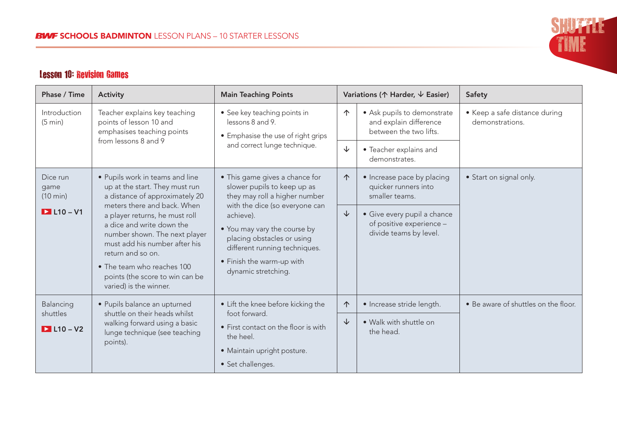

### Lesson 10: Revision Games

| Phase / Time                                     | <b>Activity</b>                                                                                                                                                                                                                                                              | <b>Main Teaching Points</b>                                                                                                                                                                    |                   | Variations ( $\uparrow$ Harder, $\downarrow$ Easier)                              | <b>Safety</b>                                    |
|--------------------------------------------------|------------------------------------------------------------------------------------------------------------------------------------------------------------------------------------------------------------------------------------------------------------------------------|------------------------------------------------------------------------------------------------------------------------------------------------------------------------------------------------|-------------------|-----------------------------------------------------------------------------------|--------------------------------------------------|
| Introduction<br>(5 min)                          | Teacher explains key teaching<br>points of lesson 10 and<br>emphasises teaching points                                                                                                                                                                                       | • See key teaching points in<br>lessons 8 and 9.<br>• Emphasise the use of right grips                                                                                                         | $\uparrow$        | • Ask pupils to demonstrate<br>and explain difference<br>between the two lifts.   | • Keep a safe distance during<br>demonstrations. |
|                                                  | from lessons 8 and 9                                                                                                                                                                                                                                                         | and correct lunge technique.                                                                                                                                                                   | $\downarrow$      | • Teacher explains and<br>demonstrates.                                           |                                                  |
| Dice run<br>game<br>(10 min)                     | • Pupils work in teams and line<br>up at the start. They must run<br>a distance of approximately 20                                                                                                                                                                          | • This game gives a chance for<br>slower pupils to keep up as<br>they may roll a higher number                                                                                                 | 个                 | • Increase pace by placing<br>quicker runners into<br>smaller teams.              | • Start on signal only.                          |
| $\blacksquare$ L10 – V1                          | meters there and back. When<br>a player returns, he must roll<br>a dice and write down the<br>number shown. The next player<br>must add his number after his<br>return and so on.<br>• The team who reaches 100<br>points (the score to win can be<br>varied) is the winner. | with the dice (so everyone can<br>achieve).<br>• You may vary the course by<br>placing obstacles or using<br>different running techniques.<br>• Finish the warm-up with<br>dynamic stretching. | $\downarrow$      | · Give every pupil a chance<br>of positive experience -<br>divide teams by level. |                                                  |
| Balancing<br>shuttles<br>$\blacksquare$ L10 – V2 | • Pupils balance an upturned<br>shuttle on their heads whilst<br>walking forward using a basic<br>lunge technique (see teaching<br>points).                                                                                                                                  | • Lift the knee before kicking the<br>foot forward.<br>• First contact on the floor is with<br>the heel.<br>· Maintain upright posture.<br>• Set challenges.                                   | 个<br>$\downarrow$ | · Increase stride length.<br>• Walk with shuttle on<br>the head.                  | • Be aware of shuttles on the floor.             |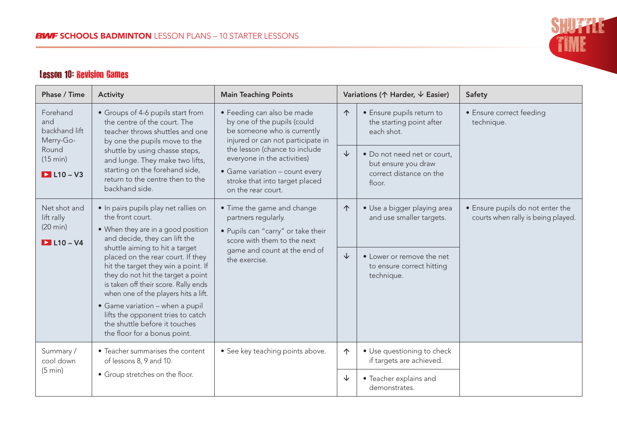

### Lesson 10: Revision Games

| Phase / Time                                                   | Activity                                                                                                                                                                                                                                                                                                                                                                                                                                                                      | <b>Main Teaching Points</b>                                                                                                                                                                                                                                                             | Variations ( $\uparrow$ Harder, $\downarrow$ Easier) |                                                                                                                                 | Safety                                                                 |
|----------------------------------------------------------------|-------------------------------------------------------------------------------------------------------------------------------------------------------------------------------------------------------------------------------------------------------------------------------------------------------------------------------------------------------------------------------------------------------------------------------------------------------------------------------|-----------------------------------------------------------------------------------------------------------------------------------------------------------------------------------------------------------------------------------------------------------------------------------------|------------------------------------------------------|---------------------------------------------------------------------------------------------------------------------------------|------------------------------------------------------------------------|
| Forehand<br>and<br>backhand lift<br>Merry-Go-                  | • Groups of 4-6 pupils start from<br>the centre of the court. The<br>teacher throws shuttles and one<br>by one the pupils move to the                                                                                                                                                                                                                                                                                                                                         | · Feeding can also be made<br>by one of the pupils (could<br>be someone who is currently<br>injured or can not participate in<br>the lesson (chance to include<br>everyone in the activities)<br>• Game variation - count every<br>stroke that into target placed<br>on the rear court. | $\uparrow$                                           | · Ensure pupils return to<br>the starting point after<br>each shot.                                                             | • Ensure correct feeding<br>technique.                                 |
| Round<br>(15 min)<br>$\blacksquare$ L10 – V3                   | shuttle by using chasse steps,<br>and lunge. They make two lifts,<br>starting on the forehand side,<br>return to the centre then to the<br>backhand side.                                                                                                                                                                                                                                                                                                                     |                                                                                                                                                                                                                                                                                         | $\downarrow$                                         | · Do not need net or court,<br>but ensure you draw<br>correct distance on the<br>floor.                                         |                                                                        |
| Net shot and<br>lift rally<br>$(20 \text{ min})$<br>$L10 - V4$ | • In pairs pupils play net rallies on<br>the front court.<br>• When they are in a good position<br>and decide, they can lift the<br>shuttle aiming to hit a target<br>placed on the rear court. If they<br>hit the target they win a point. If<br>they do not hit the target a point<br>is taken off their score. Rally ends<br>when one of the players hits a lift.<br>• Game variation - when a pupil<br>lifts the opponent tries to catch<br>the shuttle before it touches | • Time the game and change<br>partners regularly.<br>· Pupils can "carry" or take their<br>score with them to the next<br>game and count at the end of<br>the exercise.                                                                                                                 | $\uparrow$<br>$\downarrow$                           | · Use a bigger playing area<br>and use smaller targets.<br>• Lower or remove the net<br>to ensure correct hitting<br>technique. | • Ensure pupils do not enter the<br>courts when rally is being played. |
|                                                                | the floor for a bonus point.                                                                                                                                                                                                                                                                                                                                                                                                                                                  |                                                                                                                                                                                                                                                                                         |                                                      |                                                                                                                                 |                                                                        |
| Summary /<br>cool down<br>(5 min)                              | • Teacher summarises the content<br>of lessons 8, 9 and 10.                                                                                                                                                                                                                                                                                                                                                                                                                   | • See key teaching points above.                                                                                                                                                                                                                                                        | $\uparrow$                                           | • Use questioning to check<br>if targets are achieved.                                                                          |                                                                        |
|                                                                | • Group stretches on the floor.                                                                                                                                                                                                                                                                                                                                                                                                                                               |                                                                                                                                                                                                                                                                                         | ↓                                                    | • Teacher explains and<br>demonstrates.                                                                                         |                                                                        |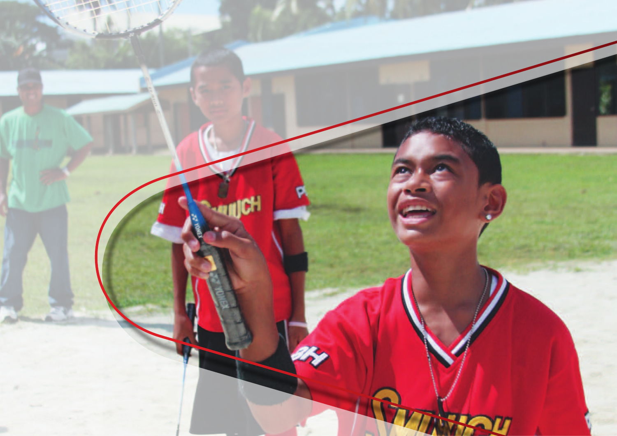